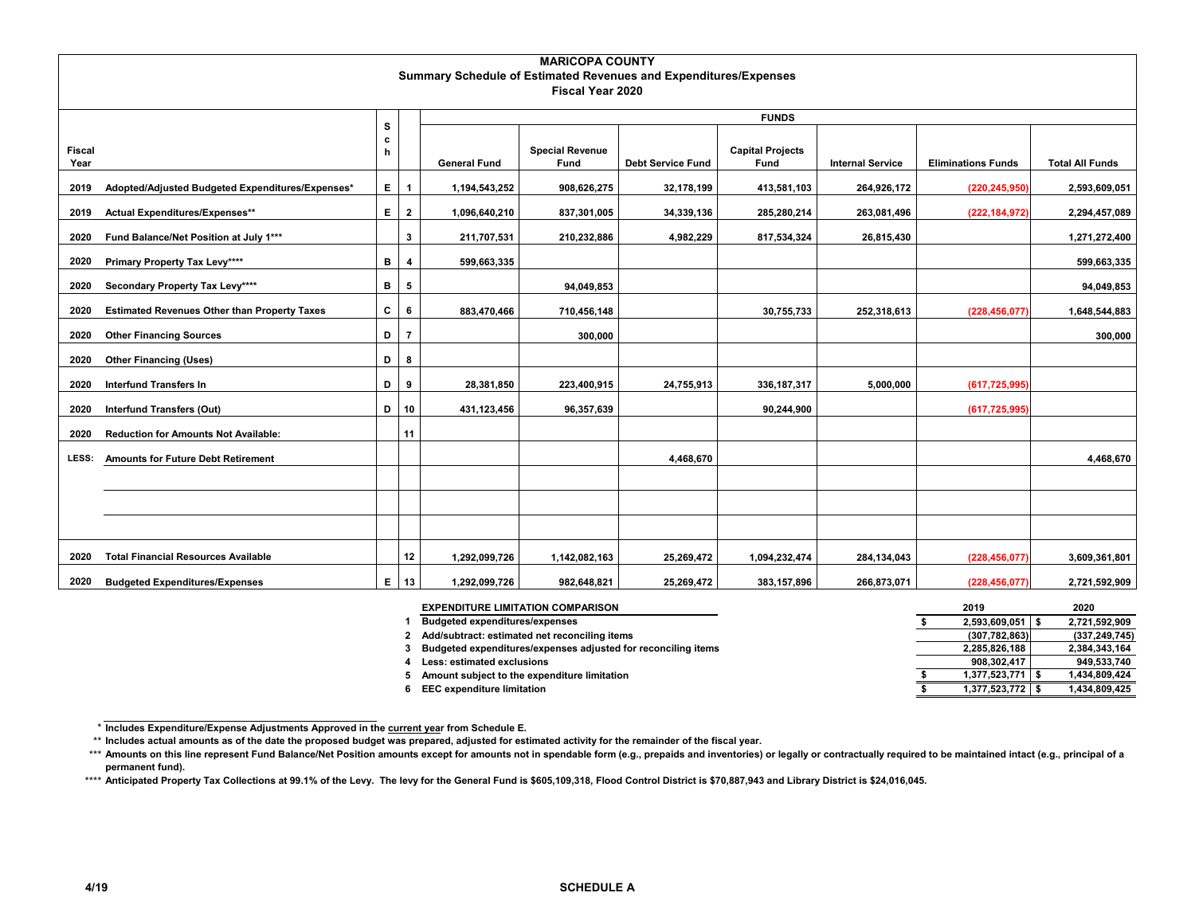|               | <b>MARICOPA COUNTY</b>                                           |                  |                |                     |                        |                          |                         |                         |                           |                        |  |  |  |
|---------------|------------------------------------------------------------------|------------------|----------------|---------------------|------------------------|--------------------------|-------------------------|-------------------------|---------------------------|------------------------|--|--|--|
|               | Summary Schedule of Estimated Revenues and Expenditures/Expenses |                  |                |                     |                        |                          |                         |                         |                           |                        |  |  |  |
|               |                                                                  |                  |                |                     | Fiscal Year 2020       |                          |                         |                         |                           |                        |  |  |  |
|               |                                                                  |                  |                |                     |                        |                          | <b>FUNDS</b>            |                         |                           |                        |  |  |  |
|               |                                                                  | s<br>$\mathbf c$ |                |                     |                        |                          |                         |                         |                           |                        |  |  |  |
| <b>Fiscal</b> |                                                                  | h                |                |                     | <b>Special Revenue</b> |                          | <b>Capital Projects</b> |                         |                           |                        |  |  |  |
| Year          |                                                                  |                  |                | <b>General Fund</b> | Fund                   | <b>Debt Service Fund</b> | Fund                    | <b>Internal Service</b> | <b>Eliminations Funds</b> | <b>Total All Funds</b> |  |  |  |
| 2019          | Adopted/Adjusted Budgeted Expenditures/Expenses*                 | E.               | $\overline{1}$ | 1,194,543,252       | 908,626,275            | 32,178,199               | 413,581,103             | 264,926,172             | (220, 245, 950)           | 2,593,609,051          |  |  |  |
| 2019          | Actual Expenditures/Expenses**                                   | E.               | $\overline{2}$ | 1,096,640,210       | 837,301,005            | 34,339,136               | 285,280,214             | 263,081,496             | (222, 184, 972)           | 2,294,457,089          |  |  |  |
| 2020          | Fund Balance/Net Position at July 1***                           |                  | 3              | 211,707,531         | 210,232,886            | 4,982,229                | 817,534,324             | 26,815,430              |                           | 1,271,272,400          |  |  |  |
| 2020          | <b>Primary Property Tax Levy****</b>                             | в                | 4              | 599,663,335         |                        |                          |                         |                         |                           | 599,663,335            |  |  |  |
| 2020          | Secondary Property Tax Levy****                                  | B                | 5              |                     | 94,049,853             |                          |                         |                         |                           | 94,049,853             |  |  |  |
| 2020          | <b>Estimated Revenues Other than Property Taxes</b>              | c                | 6              | 883,470,466         | 710,456,148            |                          | 30,755,733              | 252,318,613             | (228, 456, 077)           | 1,648,544,883          |  |  |  |
| 2020          | <b>Other Financing Sources</b>                                   | D                | $\overline{7}$ |                     | 300,000                |                          |                         |                         |                           | 300,000                |  |  |  |
| 2020          | <b>Other Financing (Uses)</b>                                    | D                | 8              |                     |                        |                          |                         |                         |                           |                        |  |  |  |
| 2020          | <b>Interfund Transfers In</b>                                    | D                | 9              | 28,381,850          | 223,400,915            | 24,755,913               | 336, 187, 317           | 5,000,000               | (617, 725, 995)           |                        |  |  |  |
| 2020          | <b>Interfund Transfers (Out)</b>                                 | D                | 10             | 431,123,456         | 96,357,639             |                          | 90,244,900              |                         | (617, 725, 995)           |                        |  |  |  |
| 2020          | <b>Reduction for Amounts Not Available:</b>                      |                  | 11             |                     |                        |                          |                         |                         |                           |                        |  |  |  |
| LESS:         | <b>Amounts for Future Debt Retirement</b>                        |                  |                |                     |                        | 4,468,670                |                         |                         |                           | 4,468,670              |  |  |  |
|               |                                                                  |                  |                |                     |                        |                          |                         |                         |                           |                        |  |  |  |
|               |                                                                  |                  |                |                     |                        |                          |                         |                         |                           |                        |  |  |  |
|               |                                                                  |                  |                |                     |                        |                          |                         |                         |                           |                        |  |  |  |
| 2020          | <b>Total Financial Resources Available</b>                       |                  | 12             | 1,292,099,726       | 1,142,082,163          | 25,269,472               | 1,094,232,474           | 284,134,043             | (228, 456, 077)           | 3,609,361,801          |  |  |  |
| 2020          | <b>Budgeted Expenditures/Expenses</b>                            | Е.               | 13             | 1,292,099,726       | 982,648,821            | 25,269,472               | 383, 157, 896           | 266,873,071             | (228, 456, 077)           | 2,721,592,909          |  |  |  |

| <b>EXPENDITURE LIMITATION COMPARISON</b>                      | 2019                 | 2020            |
|---------------------------------------------------------------|----------------------|-----------------|
| <b>Budgeted expenditures/expenses</b>                         | 2,593,609,051        | 2,721,592,909   |
| Add/subtract: estimated net reconciling items                 | (307, 782, 863)      | (337, 249, 745) |
| Budgeted expenditures/expenses adjusted for reconciling items | 2,285,826,188        | 2,384,343,164   |
| Less: estimated exclusions                                    | 908.302.417          | 949,533,740     |
| Amount subject to the expenditure limitation                  | $1,377,523,771$   \$ | 1,434,809,424   |
| <b>EEC expenditure limitation</b>                             | 1,377,523,772 \$     | 1,434,809,425   |

<sup>\*</sup>**Includes Expenditure/Expense Adjustments Approved in the current year from Schedule E.** 

\*\* **Includes actual amounts as of the date the proposed budget was prepared, adjusted for estimated activity for the remainder of the fiscal year.**

<sup>\*\*\*</sup> Amounts on this line represent Fund Balance/Net Position amounts except for amounts not in spendable form (e.g., prepaids and inventories) or legally or contractually required to be maintained intact (e.g., principal o **permanent fund).**

<sup>\*\*\*\*</sup> **Anticipated Property Tax Collections at 99.1% of the Levy. The levy for the General Fund is \$605,109,318, Flood Control District is \$70,887,943 and Library District is \$24,016,045.**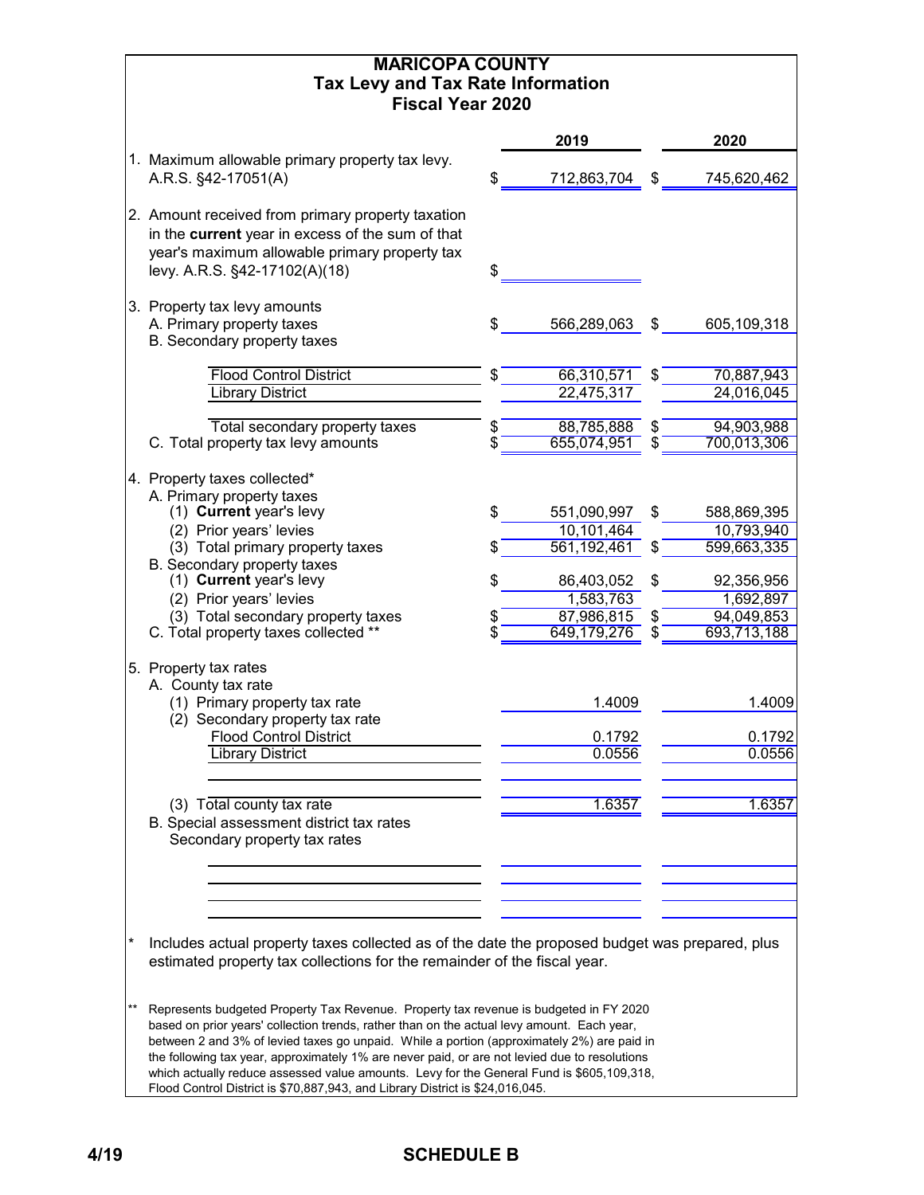|    | <b>MARICOPA COUNTY</b><br><b>Tax Levy and Tax Rate Information</b><br><b>Fiscal Year 2020</b>                                                                                                                                                                                                                                                                                                                                                                                                                                                                                                                                                |                                      |          |                                      |
|----|----------------------------------------------------------------------------------------------------------------------------------------------------------------------------------------------------------------------------------------------------------------------------------------------------------------------------------------------------------------------------------------------------------------------------------------------------------------------------------------------------------------------------------------------------------------------------------------------------------------------------------------------|--------------------------------------|----------|--------------------------------------|
|    |                                                                                                                                                                                                                                                                                                                                                                                                                                                                                                                                                                                                                                              | 2019                                 |          | 2020                                 |
|    | 1. Maximum allowable primary property tax levy.                                                                                                                                                                                                                                                                                                                                                                                                                                                                                                                                                                                              |                                      |          |                                      |
|    | A.R.S. §42-17051(A)                                                                                                                                                                                                                                                                                                                                                                                                                                                                                                                                                                                                                          | 712,863,704                          | \$       | 745,620,462                          |
|    | 2. Amount received from primary property taxation<br>in the current year in excess of the sum of that<br>year's maximum allowable primary property tax<br>levy. A.R.S. §42-17102(A)(18)                                                                                                                                                                                                                                                                                                                                                                                                                                                      | \$                                   |          |                                      |
|    | 3. Property tax levy amounts                                                                                                                                                                                                                                                                                                                                                                                                                                                                                                                                                                                                                 |                                      |          |                                      |
|    | A. Primary property taxes<br>B. Secondary property taxes                                                                                                                                                                                                                                                                                                                                                                                                                                                                                                                                                                                     | 566,289,063                          | \$       | 605,109,318                          |
|    | <b>Flood Control District</b>                                                                                                                                                                                                                                                                                                                                                                                                                                                                                                                                                                                                                | 66,310,571                           |          | 70,887,943                           |
|    | <b>Library District</b>                                                                                                                                                                                                                                                                                                                                                                                                                                                                                                                                                                                                                      | 22,475,317                           |          | 24,016,045                           |
|    | Total secondary property taxes                                                                                                                                                                                                                                                                                                                                                                                                                                                                                                                                                                                                               | 88,785,888                           | \$       | 94,903,988                           |
|    | C. Total property tax levy amounts                                                                                                                                                                                                                                                                                                                                                                                                                                                                                                                                                                                                           | 655,074,951                          | S        | 700,013,306                          |
|    | 4. Property taxes collected*<br>A. Primary property taxes<br>(1) Current year's levy                                                                                                                                                                                                                                                                                                                                                                                                                                                                                                                                                         | \$<br>551,090,997                    | \$       | 588,869,395                          |
|    | (2) Prior years' levies                                                                                                                                                                                                                                                                                                                                                                                                                                                                                                                                                                                                                      | 10,101,464                           |          | 10,793,940                           |
|    | (3) Total primary property taxes<br>B. Secondary property taxes                                                                                                                                                                                                                                                                                                                                                                                                                                                                                                                                                                              | 561,192,461                          |          | 599,663,335                          |
|    | (1) Current year's levy                                                                                                                                                                                                                                                                                                                                                                                                                                                                                                                                                                                                                      | \$<br>86,403,052                     | \$       | 92,356,956                           |
|    | (2) Prior years' levies                                                                                                                                                                                                                                                                                                                                                                                                                                                                                                                                                                                                                      | 1,583,763                            |          | 1,692,897                            |
|    | (3) Total secondary property taxes<br>C. Total property taxes collected **                                                                                                                                                                                                                                                                                                                                                                                                                                                                                                                                                                   | 87,986,815<br>649,179,276            | \$<br>\$ | 94,049,853<br>693,713,188            |
|    | 5. Property tax rates<br>A. County tax rate<br>(1) Primary property tax rate<br>(2) Secondary property tax rate<br><b>Flood Control District</b><br><b>Library District</b><br>(3) Total county tax rate<br>B. Special assessment district tax rates<br>Secondary property tax rates                                                                                                                                                                                                                                                                                                                                                         | 1.4009<br>0.1792<br>0.0556<br>1.6357 |          | 1.4009<br>0.1792<br>0.0556<br>1.6357 |
| *  | Includes actual property taxes collected as of the date the proposed budget was prepared, plus                                                                                                                                                                                                                                                                                                                                                                                                                                                                                                                                               |                                      |          |                                      |
| ** | estimated property tax collections for the remainder of the fiscal year.<br>Represents budgeted Property Tax Revenue. Property tax revenue is budgeted in FY 2020<br>based on prior years' collection trends, rather than on the actual levy amount. Each year,<br>between 2 and 3% of levied taxes go unpaid. While a portion (approximately 2%) are paid in<br>the following tax year, approximately 1% are never paid, or are not levied due to resolutions<br>which actually reduce assessed value amounts. Levy for the General Fund is \$605,109,318,<br>Flood Control District is \$70,887,943, and Library District is \$24,016,045. |                                      |          |                                      |

# **4/19 SCHEDULE B**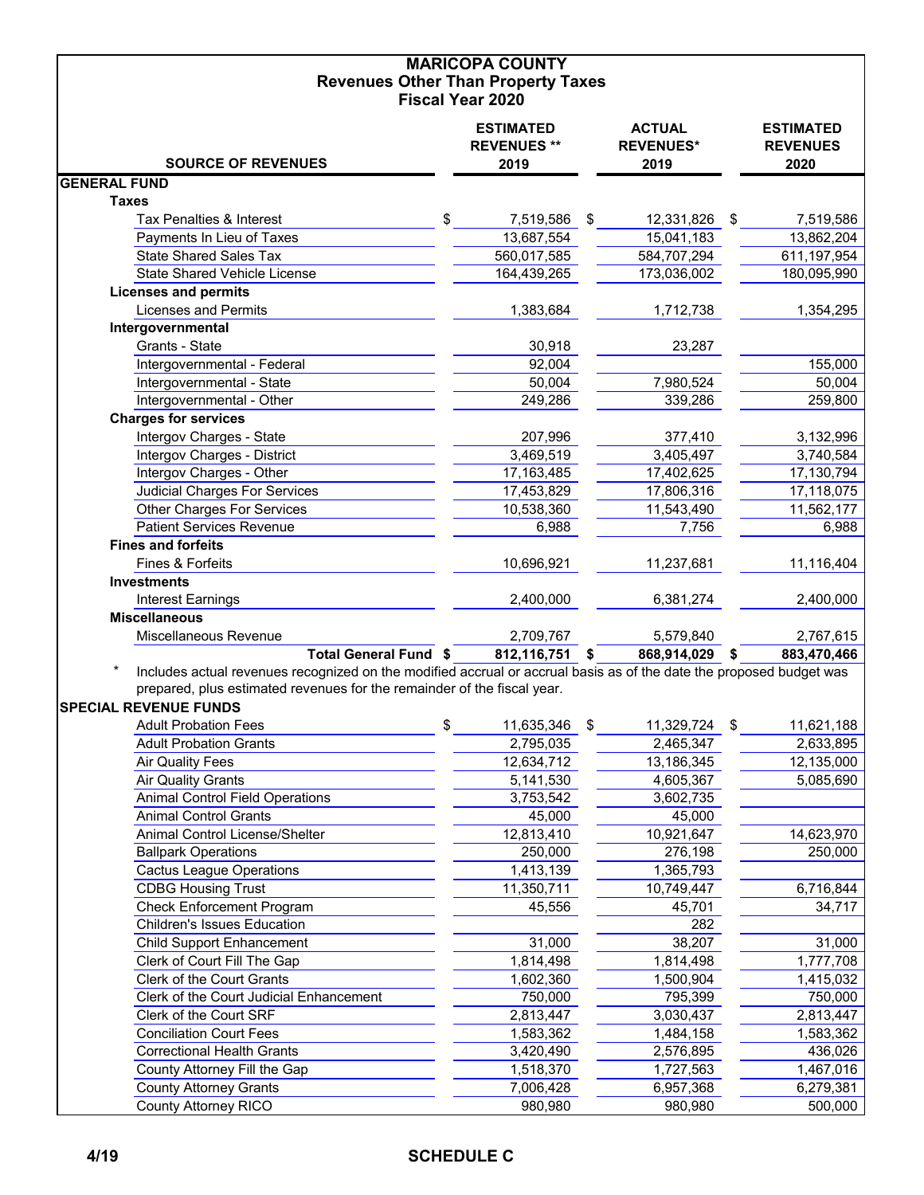#### **MARICOPA COUNTY Revenues Other Than Property Taxes Fiscal Year 2020**

|                                                                                                                     | <b>ESTIMATED</b><br><b>REVENUES **</b> | <b>ACTUAL</b><br><b>REVENUES*</b> | <b>ESTIMATED</b><br><b>REVENUES</b> |
|---------------------------------------------------------------------------------------------------------------------|----------------------------------------|-----------------------------------|-------------------------------------|
| <b>SOURCE OF REVENUES</b>                                                                                           | 2019                                   | 2019                              | 2020                                |
| <b>GENERAL FUND</b>                                                                                                 |                                        |                                   |                                     |
| <b>Taxes</b>                                                                                                        |                                        |                                   |                                     |
| Tax Penalties & Interest                                                                                            | \$<br>7,519,586                        | \$<br>12,331,826                  | \$<br>7,519,586                     |
| Payments In Lieu of Taxes                                                                                           | 13,687,554                             | 15,041,183                        | 13,862,204                          |
| <b>State Shared Sales Tax</b>                                                                                       | 560,017,585                            | 584,707,294                       | 611,197,954                         |
| <b>State Shared Vehicle License</b>                                                                                 | 164,439,265                            | 173,036,002                       | 180,095,990                         |
| <b>Licenses and permits</b>                                                                                         |                                        |                                   |                                     |
| <b>Licenses and Permits</b>                                                                                         | 1,383,684                              | 1,712,738                         | 1,354,295                           |
| Intergovernmental                                                                                                   |                                        |                                   |                                     |
| Grants - State                                                                                                      | 30,918                                 | 23,287                            |                                     |
| Intergovernmental - Federal                                                                                         | 92,004                                 |                                   | 155,000                             |
| Intergovernmental - State                                                                                           | 50,004                                 | 7,980,524                         | 50,004                              |
| Intergovernmental - Other                                                                                           | 249,286                                | 339,286                           | 259,800                             |
| <b>Charges for services</b>                                                                                         |                                        |                                   |                                     |
| Intergov Charges - State                                                                                            | 207,996                                | 377,410                           | 3,132,996                           |
| Intergov Charges - District                                                                                         | 3,469,519                              | 3,405,497                         | 3,740,584                           |
| Intergov Charges - Other                                                                                            | 17,163,485                             | 17,402,625                        | 17,130,794                          |
| <b>Judicial Charges For Services</b>                                                                                | 17,453,829                             | 17,806,316                        | 17,118,075                          |
| <b>Other Charges For Services</b>                                                                                   | 10,538,360                             | 11,543,490                        | 11,562,177                          |
| <b>Patient Services Revenue</b>                                                                                     | 6,988                                  | 7,756                             | 6,988                               |
| <b>Fines and forfeits</b>                                                                                           |                                        |                                   |                                     |
| Fines & Forfeits                                                                                                    | 10,696,921                             | 11,237,681                        | 11,116,404                          |
| <b>Investments</b>                                                                                                  |                                        |                                   |                                     |
| <b>Interest Earnings</b>                                                                                            | 2,400,000                              | 6,381,274                         | 2,400,000                           |
| <b>Miscellaneous</b>                                                                                                |                                        |                                   |                                     |
| Miscellaneous Revenue                                                                                               | 2,709,767                              | 5,579,840                         | 2,767,615                           |
| Total General Fund \$                                                                                               | 812,116,751                            | \$<br>868,914,029 \$              | 883,470,466                         |
| Includes actual revenues recognized on the modified accrual or accrual basis as of the date the proposed budget was |                                        |                                   |                                     |
| prepared, plus estimated revenues for the remainder of the fiscal year.                                             |                                        |                                   |                                     |
| <b>SPECIAL REVENUE FUNDS</b>                                                                                        |                                        |                                   |                                     |
| <b>Adult Probation Fees</b>                                                                                         | \$<br>11,635,346                       | \$<br>11,329,724                  | \$<br>11,621,188                    |
| <b>Adult Probation Grants</b>                                                                                       | 2,795,035                              | 2,465,347                         | 2,633,895                           |
| <b>Air Quality Fees</b>                                                                                             | 12,634,712                             | 13,186,345                        | 12,135,000                          |
| <b>Air Quality Grants</b>                                                                                           | 5,141,530                              | 4,605,367                         | 5,085,690                           |
| <b>Animal Control Field Operations</b>                                                                              | 3,753,542                              | 3,602,735                         |                                     |
| <b>Animal Control Grants</b>                                                                                        | 45,000                                 | 45,000                            |                                     |
| Animal Control License/Shelter                                                                                      | 12,813,410                             | 10,921,647                        | 14,623,970                          |
| <b>Ballpark Operations</b>                                                                                          | 250,000                                | 276,198                           | 250,000                             |
| <b>Cactus League Operations</b>                                                                                     | 1,413,139                              | 1,365,793                         |                                     |
| <b>CDBG Housing Trust</b>                                                                                           | 11,350,711                             | 10,749,447                        | 6,716,844                           |
| <b>Check Enforcement Program</b>                                                                                    | 45,556                                 | 45,701                            | 34,717                              |
| <b>Children's Issues Education</b>                                                                                  |                                        | 282                               |                                     |
| <b>Child Support Enhancement</b>                                                                                    | 31,000                                 | 38,207                            | 31,000                              |
| Clerk of Court Fill The Gap                                                                                         | 1,814,498                              | 1,814,498                         | 1,777,708                           |
| Clerk of the Court Grants                                                                                           | 1,602,360                              | 1,500,904                         | 1,415,032                           |
| Clerk of the Court Judicial Enhancement                                                                             | 750,000                                | 795,399                           | 750,000                             |
| Clerk of the Court SRF                                                                                              | 2,813,447                              | 3,030,437                         | 2,813,447                           |
| <b>Conciliation Court Fees</b>                                                                                      | 1,583,362                              | 1,484,158                         | 1,583,362                           |
| <b>Correctional Health Grants</b>                                                                                   | 3,420,490                              | 2,576,895                         | 436,026                             |
| County Attorney Fill the Gap                                                                                        | 1,518,370                              | 1,727,563                         | 1,467,016                           |
| <b>County Attorney Grants</b>                                                                                       | 7,006,428                              | 6,957,368<br>980,980              | 6,279,381<br>500,000                |
| <b>County Attorney RICO</b>                                                                                         | 980,980                                |                                   |                                     |

# **4/19 SCHEDULE C**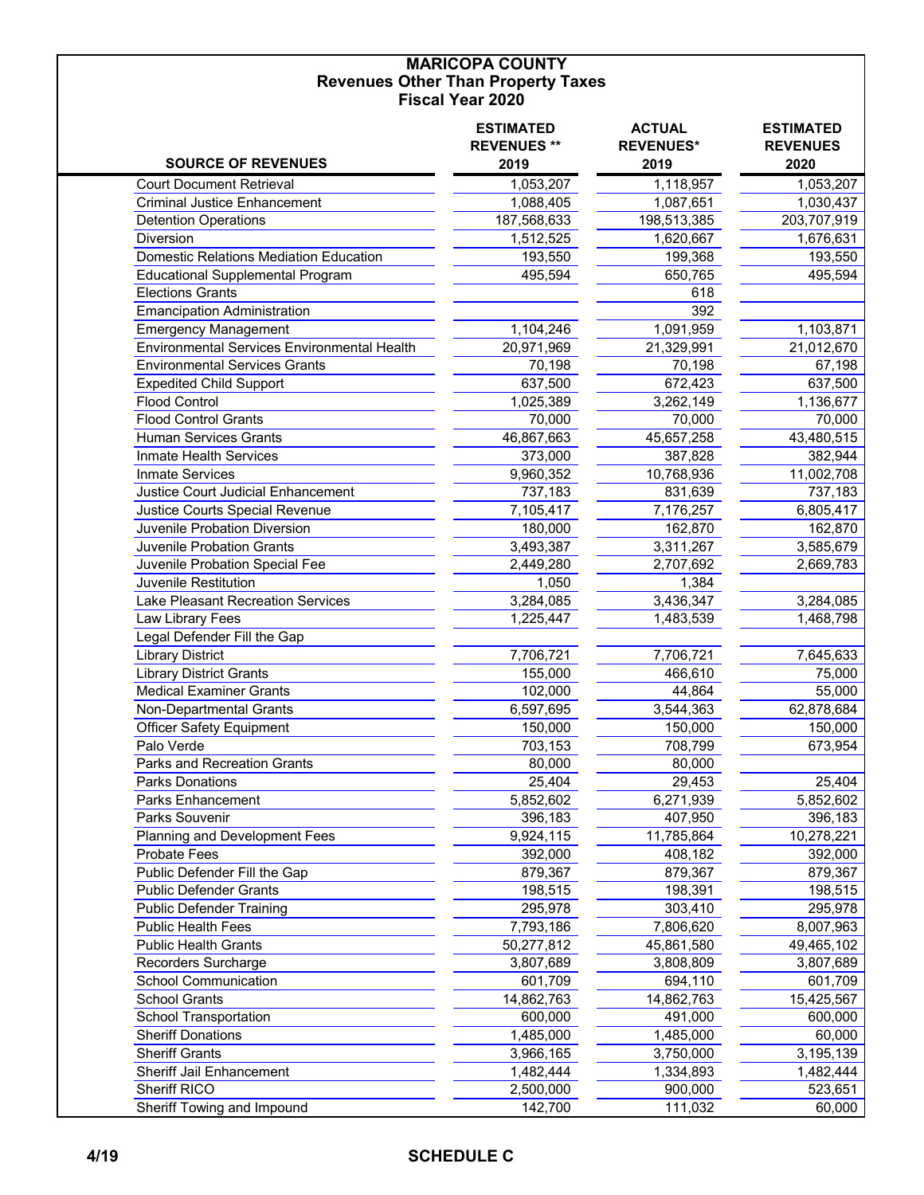#### **MARICOPA COUNTY Revenues Other Than Property Taxes Fiscal Year 2020**

| <b>SOURCE OF REVENUES</b>                     | <b>ESTIMATED</b><br><b>REVENUES **</b><br>2019 | <b>ACTUAL</b><br><b>REVENUES*</b><br>2019 | <b>ESTIMATED</b><br><b>REVENUES</b><br>2020 |
|-----------------------------------------------|------------------------------------------------|-------------------------------------------|---------------------------------------------|
| <b>Court Document Retrieval</b>               | 1,053,207                                      | 1,118,957                                 | 1,053,207                                   |
| Criminal Justice Enhancement                  | 1,088,405                                      | 1,087,651                                 | 1,030,437                                   |
| <b>Detention Operations</b>                   | 187,568,633                                    | 198,513,385                               | 203,707,919                                 |
| Diversion                                     | 1,512,525                                      | 1,620,667                                 | 1,676,631                                   |
| <b>Domestic Relations Mediation Education</b> | 193,550                                        | 199,368                                   | 193,550                                     |
| <b>Educational Supplemental Program</b>       | 495,594                                        | 650,765                                   | 495,594                                     |
| <b>Elections Grants</b>                       |                                                | 618                                       |                                             |
| <b>Emancipation Administration</b>            |                                                | 392                                       |                                             |
| <b>Emergency Management</b>                   | 1,104,246                                      | 1,091,959                                 | 1,103,871                                   |
| Environmental Services Environmental Health   | 20,971,969                                     | 21,329,991                                | 21,012,670                                  |
| <b>Environmental Services Grants</b>          | 70,198                                         | 70,198                                    | 67,198                                      |
| <b>Expedited Child Support</b>                | 637,500                                        | 672,423                                   | 637,500                                     |
| <b>Flood Control</b>                          | 1,025,389                                      | 3,262,149                                 | 1,136,677                                   |
| <b>Flood Control Grants</b>                   | 70,000                                         | 70,000                                    | 70,000                                      |
| <b>Human Services Grants</b>                  | 46,867,663                                     | 45,657,258                                | 43,480,515                                  |
| Inmate Health Services                        | 373,000                                        | 387,828                                   | 382,944                                     |
| <b>Inmate Services</b>                        | 9,960,352                                      | 10,768,936                                | 11,002,708                                  |
| Justice Court Judicial Enhancement            | 737,183                                        | 831,639                                   | 737,183                                     |
| Justice Courts Special Revenue                | 7,105,417                                      | 7,176,257                                 | 6,805,417                                   |
| Juvenile Probation Diversion                  | 180,000                                        | 162,870                                   | 162,870                                     |
| <b>Juvenile Probation Grants</b>              | 3,493,387                                      | 3,311,267                                 | 3,585,679                                   |
| Juvenile Probation Special Fee                | 2,449,280                                      | 2,707,692                                 | 2,669,783                                   |
| Juvenile Restitution                          | 1,050                                          | 1,384                                     |                                             |
| Lake Pleasant Recreation Services             | 3,284,085                                      | 3,436,347                                 | 3,284,085                                   |
| Law Library Fees                              | 1,225,447                                      | 1,483,539                                 | 1,468,798                                   |
| Legal Defender Fill the Gap                   |                                                |                                           |                                             |
| <b>Library District</b>                       | 7,706,721                                      | 7,706,721                                 | 7,645,633                                   |
| <b>Library District Grants</b>                | 155,000                                        | 466,610                                   | 75,000                                      |
| <b>Medical Examiner Grants</b>                | 102,000                                        | 44,864                                    | 55,000                                      |
| Non-Departmental Grants                       | 6,597,695                                      | 3,544,363                                 | 62,878,684                                  |
| <b>Officer Safety Equipment</b>               | 150,000                                        | 150,000                                   | 150,000                                     |
| Palo Verde                                    | 703,153                                        | 708,799                                   | 673,954                                     |
| <b>Parks and Recreation Grants</b>            | 80,000                                         | 80,000                                    |                                             |
| <b>Parks Donations</b>                        | 25,404                                         | 29,453                                    | 25,404                                      |
| <b>Parks Enhancement</b>                      | 5,852,602                                      | 6,271,939                                 | 5,852,602                                   |
| Parks Souvenir                                | 396,183                                        | 407,950                                   | 396,183                                     |
| Planning and Development Fees                 | 9,924,115                                      | 11,785,864                                | 10,278,221                                  |
| <b>Probate Fees</b>                           | 392,000                                        | 408,182                                   | 392,000                                     |
| Public Defender Fill the Gap                  | 879,367                                        | 879,367                                   | 879,367                                     |
| <b>Public Defender Grants</b>                 | 198,515                                        | 198,391                                   | 198,515                                     |
| <b>Public Defender Training</b>               | 295,978                                        | 303,410                                   | 295,978                                     |
| <b>Public Health Fees</b>                     | 7,793,186                                      | 7,806,620                                 | 8,007,963                                   |
| <b>Public Health Grants</b>                   | 50,277,812                                     | 45,861,580                                | 49,465,102                                  |
| Recorders Surcharge                           | 3,807,689                                      | 3,808,809                                 | 3,807,689                                   |
| <b>School Communication</b>                   | 601,709                                        | 694,110                                   | 601,709                                     |
| <b>School Grants</b>                          | 14,862,763                                     | 14,862,763                                | 15,425,567                                  |
| School Transportation                         | 600,000                                        | 491,000                                   | 600,000                                     |
| <b>Sheriff Donations</b>                      | 1,485,000                                      | 1,485,000                                 | 60,000                                      |
| <b>Sheriff Grants</b>                         | 3,966,165                                      | 3,750,000                                 | 3,195,139                                   |
| Sheriff Jail Enhancement                      | 1,482,444                                      | 1,334,893                                 | 1,482,444                                   |
| Sheriff RICO                                  | 2,500,000                                      | 900,000                                   | 523,651                                     |
| Sheriff Towing and Impound                    | 142,700                                        | 111,032                                   | 60,000                                      |
|                                               |                                                |                                           |                                             |

### **4/19 SCHEDULE C**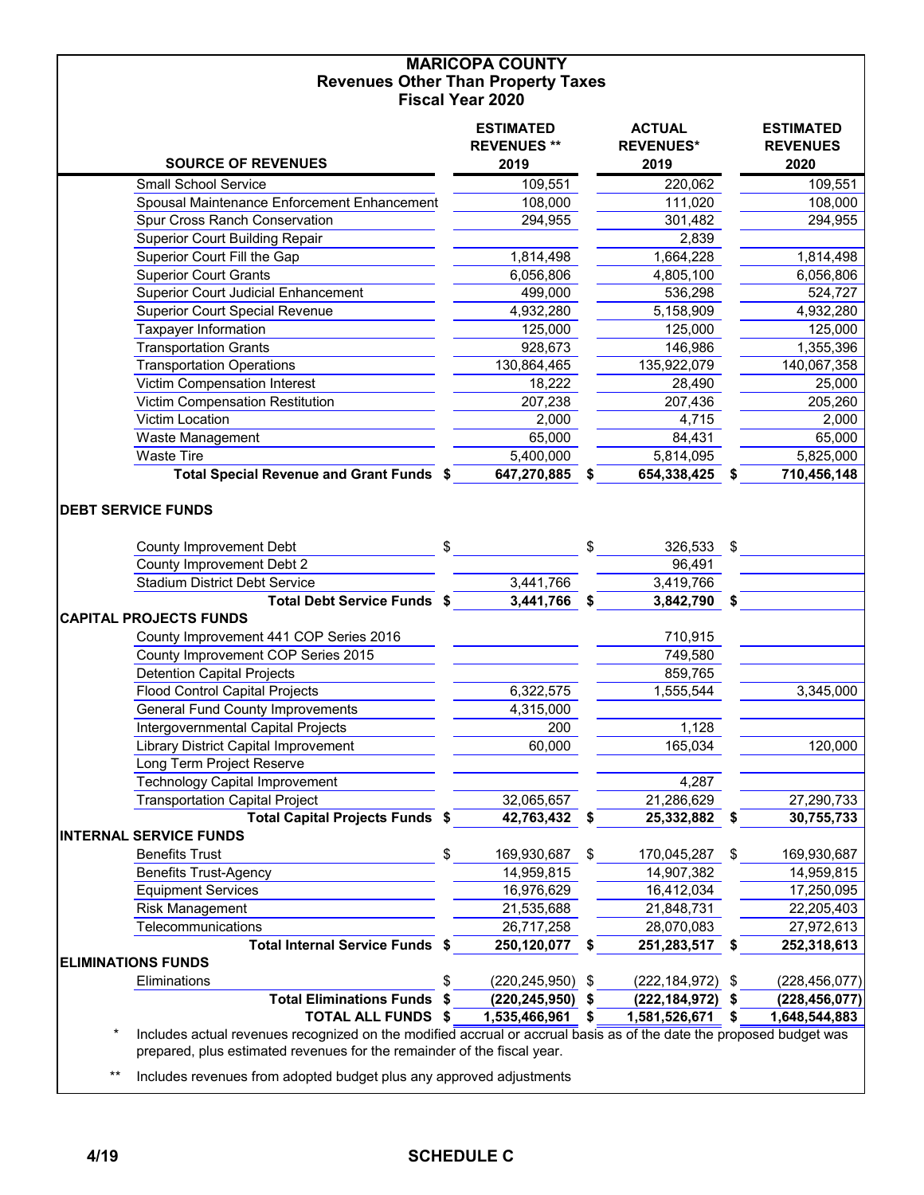#### **MARICOPA COUNTY Revenues Other Than Property Taxes Fiscal Year 2020**

|                                                                                                     | <b>ESTIMATED</b><br><b>REVENUES **</b> | <b>ACTUAL</b><br><b>REVENUES*</b> |      | <b>ESTIMATED</b><br><b>REVENUES</b> |
|-----------------------------------------------------------------------------------------------------|----------------------------------------|-----------------------------------|------|-------------------------------------|
| <b>SOURCE OF REVENUES</b>                                                                           | 2019                                   | 2019                              |      | 2020                                |
| <b>Small School Service</b>                                                                         | 109,551                                | 220,062                           |      | 109,551                             |
| Spousal Maintenance Enforcement Enhancement                                                         | 108,000                                | 111,020                           |      | 108,000                             |
| Spur Cross Ranch Conservation                                                                       | 294,955                                | 301,482                           |      | 294,955                             |
| <b>Superior Court Building Repair</b>                                                               |                                        | 2,839                             |      |                                     |
| Superior Court Fill the Gap                                                                         | 1,814,498                              | 1,664,228                         |      | 1,814,498                           |
| <b>Superior Court Grants</b>                                                                        | 6,056,806                              | 4,805,100                         |      | 6,056,806                           |
| <b>Superior Court Judicial Enhancement</b>                                                          | 499,000                                | 536,298                           |      | 524,727                             |
| <b>Superior Court Special Revenue</b>                                                               | 4,932,280                              | 5,158,909                         |      | 4,932,280                           |
| Taxpayer Information                                                                                | 125,000                                | 125,000                           |      | 125,000                             |
| <b>Transportation Grants</b>                                                                        | 928,673                                | 146,986                           |      | 1,355,396                           |
| <b>Transportation Operations</b>                                                                    | 130,864,465                            | 135,922,079                       |      | 140,067,358                         |
| Victim Compensation Interest                                                                        | 18,222                                 | 28,490                            |      | 25,000                              |
| Victim Compensation Restitution                                                                     | 207,238                                | 207,436                           |      | 205,260                             |
| Victim Location                                                                                     | 2,000                                  | 4,715                             |      | 2,000                               |
| Waste Management                                                                                    | 65,000                                 | 84,431                            |      | 65,000                              |
| <b>Waste Tire</b>                                                                                   | 5,400,000                              | 5,814,095                         |      | 5,825,000                           |
| Total Special Revenue and Grant Funds \$                                                            | 647,270,885                            | \$<br>654,338,425                 |      | 710,456,148                         |
| <b>County Improvement Debt</b><br>County Improvement Debt 2<br><b>Stadium District Debt Service</b> | \$                                     | 326,533<br>96,491                 | \$   |                                     |
|                                                                                                     | 3,441,766                              | 3,419,766                         |      |                                     |
| Total Debt Service Funds \$                                                                         | 3,441,766                              | \$<br>3,842,790                   | \$   |                                     |
| <b>CAPITAL PROJECTS FUNDS</b>                                                                       |                                        |                                   |      |                                     |
| County Improvement 441 COP Series 2016<br>County Improvement COP Series 2015                        |                                        | 710,915<br>749,580                |      |                                     |
| <b>Detention Capital Projects</b>                                                                   |                                        | 859,765                           |      |                                     |
| <b>Flood Control Capital Projects</b>                                                               | 6,322,575                              | 1,555,544                         |      | 3,345,000                           |
| <b>General Fund County Improvements</b>                                                             | 4,315,000                              |                                   |      |                                     |
| Intergovernmental Capital Projects                                                                  | 200                                    | 1,128                             |      |                                     |
| <b>Library District Capital Improvement</b>                                                         | 60,000                                 | 165,034                           |      | 120,000                             |
| Long Term Project Reserve                                                                           |                                        |                                   |      |                                     |
| <b>Technology Capital Improvement</b>                                                               |                                        | 4,287                             |      |                                     |
| <b>Transportation Capital Project</b>                                                               | 32,065,657                             | 21,286,629                        |      | 27,290,733                          |
| <b>Total Capital Projects Funds \$</b>                                                              | 42,763,432                             | \$<br>25,332,882                  | S    | 30,755,733                          |
| <b>INTERNAL SERVICE FUNDS</b>                                                                       |                                        |                                   |      |                                     |
| <b>Benefits Trust</b>                                                                               | \$<br>169,930,687                      | \$<br>170,045,287                 | \$   | 169,930,687                         |
| <b>Benefits Trust-Agency</b>                                                                        | 14,959,815                             | 14,907,382                        |      | 14,959,815                          |
| <b>Equipment Services</b>                                                                           | 16,976,629                             | 16,412,034                        |      | 17,250,095                          |
| <b>Risk Management</b>                                                                              | 21,535,688                             | 21,848,731                        |      | 22,205,403                          |
| Telecommunications                                                                                  | 26,717,258                             | 28,070,083                        |      | 27,972,613                          |
| Total Internal Service Funds \$                                                                     | 250,120,077                            | \$<br>251,283,517                 | \$   | 252,318,613                         |
| <b>ELIMINATIONS FUNDS</b>                                                                           |                                        |                                   |      |                                     |
| Eliminations                                                                                        | \$<br>(220, 245, 950)                  | \$<br>(222, 184, 972)             | - \$ | (228, 456, 077)                     |
| <b>Total Eliminations Funds</b>                                                                     | $(220, 245, 950)$ \$                   | (222, 184, 972)                   | - \$ | (228, 456, 077)                     |
| <b>TOTAL ALL FUNDS \$</b>                                                                           | 1,535,466,961                          | \$<br>1,581,526,671               | \$   | 1,648,544,883                       |
|                                                                                                     |                                        |                                   |      |                                     |

 \* Includes actual revenues recognized on the modified accrual or accrual basis as of the date the proposed budget was prepared, plus estimated revenues for the remainder of the fiscal year.

\*\* Includes revenues from adopted budget plus any approved adjustments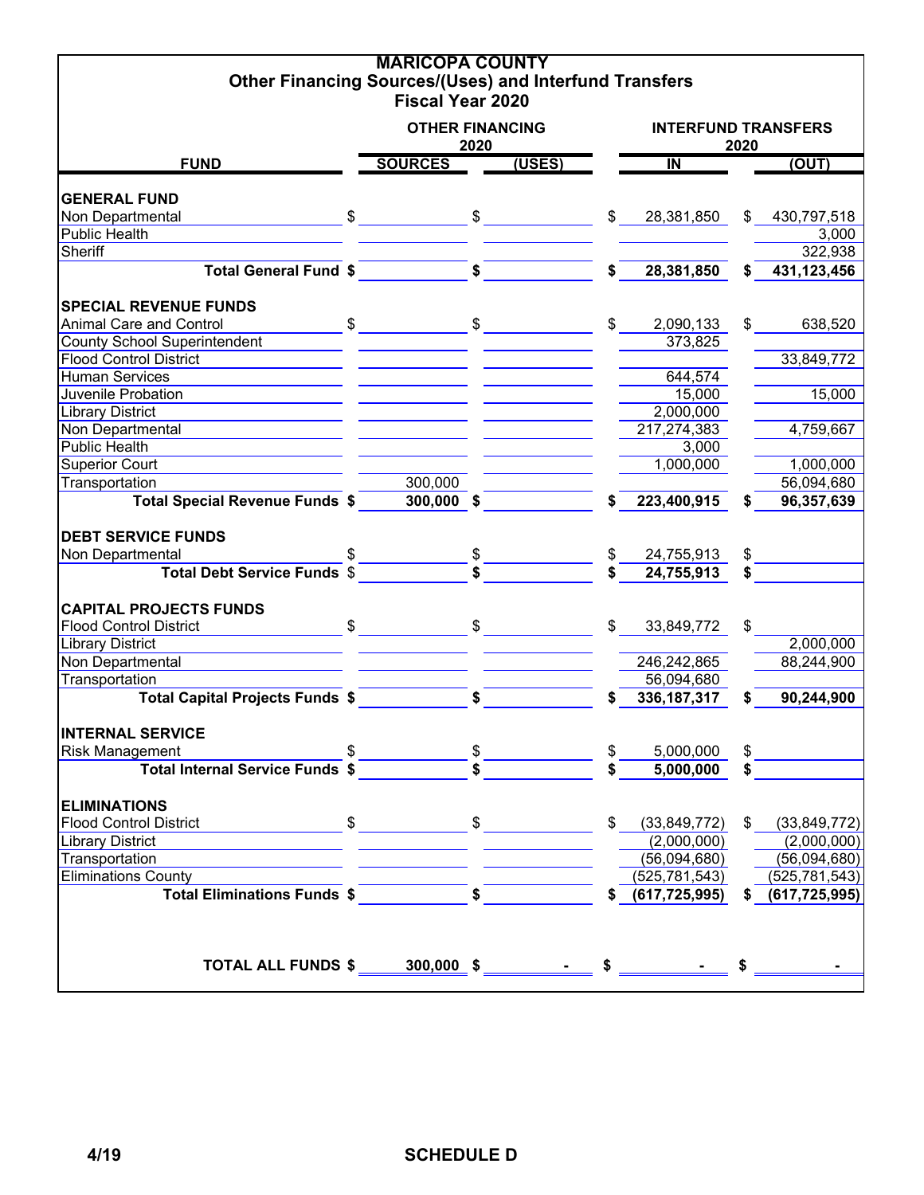| <b>Other Financing Sources/(Uses) and Interfund Transfers</b> |                                                                                                                                                                                                                                                                                                                     | <b>MARICOPA COUNTY</b>    |                      |              |                    |    |                    |  |  |  |
|---------------------------------------------------------------|---------------------------------------------------------------------------------------------------------------------------------------------------------------------------------------------------------------------------------------------------------------------------------------------------------------------|---------------------------|----------------------|--------------|--------------------|----|--------------------|--|--|--|
|                                                               |                                                                                                                                                                                                                                                                                                                     | <b>Fiscal Year 2020</b>   |                      |              |                    |    |                    |  |  |  |
| <b>OTHER FINANCING</b><br><b>INTERFUND TRANSFERS</b>          |                                                                                                                                                                                                                                                                                                                     |                           |                      |              |                    |    |                    |  |  |  |
|                                                               |                                                                                                                                                                                                                                                                                                                     | 2020                      |                      |              | 2020               |    |                    |  |  |  |
| <b>FUND</b>                                                   | <b>SOURCES</b>                                                                                                                                                                                                                                                                                                      |                           | (USES)               |              | $\overline{N}$     |    | (OUT)              |  |  |  |
| <b>GENERAL FUND</b>                                           |                                                                                                                                                                                                                                                                                                                     |                           |                      |              |                    |    |                    |  |  |  |
| Non Departmental                                              | $\frac{1}{2}$ $\frac{1}{2}$ $\frac{1}{2}$ $\frac{1}{2}$ $\frac{1}{2}$ $\frac{1}{2}$ $\frac{1}{2}$ $\frac{1}{2}$ $\frac{1}{2}$ $\frac{1}{2}$ $\frac{1}{2}$ $\frac{1}{2}$ $\frac{1}{2}$ $\frac{1}{2}$ $\frac{1}{2}$ $\frac{1}{2}$ $\frac{1}{2}$ $\frac{1}{2}$ $\frac{1}{2}$ $\frac{1}{2}$ $\frac{1}{2}$ $\frac{1}{2}$ |                           |                      | $\mathbb{S}$ | 28,381,850         |    | \$430,797,518      |  |  |  |
| <b>Public Health</b>                                          |                                                                                                                                                                                                                                                                                                                     |                           |                      |              |                    |    | 3,000              |  |  |  |
| Sheriff                                                       |                                                                                                                                                                                                                                                                                                                     |                           |                      |              |                    |    | 322,938            |  |  |  |
| <b>Total General Fund \$</b>                                  |                                                                                                                                                                                                                                                                                                                     | $\overline{\bullet}$      |                      |              | 28,381,850         |    | 431,123,456        |  |  |  |
|                                                               |                                                                                                                                                                                                                                                                                                                     |                           |                      |              |                    |    |                    |  |  |  |
| <b>SPECIAL REVENUE FUNDS</b>                                  |                                                                                                                                                                                                                                                                                                                     |                           |                      |              |                    |    |                    |  |  |  |
| Animal Care and Control                                       | $\mathfrak s$                                                                                                                                                                                                                                                                                                       |                           | $\frac{1}{\sqrt{2}}$ | \$.          | 2,090,133          | \$ | 638,520            |  |  |  |
| <b>County School Superintendent</b>                           |                                                                                                                                                                                                                                                                                                                     |                           |                      |              | 373,825            |    |                    |  |  |  |
| <b>Flood Control District</b>                                 |                                                                                                                                                                                                                                                                                                                     |                           |                      |              |                    |    | 33,849,772         |  |  |  |
| <b>Human Services</b>                                         |                                                                                                                                                                                                                                                                                                                     |                           |                      |              | 644,574            |    |                    |  |  |  |
| Juvenile Probation                                            |                                                                                                                                                                                                                                                                                                                     |                           |                      |              | 15,000             |    | 15,000             |  |  |  |
| <b>Library District</b>                                       |                                                                                                                                                                                                                                                                                                                     |                           |                      |              | 2,000,000          |    |                    |  |  |  |
| Non Departmental                                              |                                                                                                                                                                                                                                                                                                                     |                           |                      |              | 217,274,383        |    | 4,759,667          |  |  |  |
| <b>Public Health</b>                                          |                                                                                                                                                                                                                                                                                                                     |                           |                      |              | 3,000              |    |                    |  |  |  |
| <b>Superior Court</b>                                         |                                                                                                                                                                                                                                                                                                                     |                           |                      |              | 1,000,000          |    | 1,000,000          |  |  |  |
| Transportation                                                |                                                                                                                                                                                                                                                                                                                     | 300,000                   |                      |              |                    |    | 56,094,680         |  |  |  |
| <b>Total Special Revenue Funds \$</b>                         |                                                                                                                                                                                                                                                                                                                     | $300,000$ \$              |                      |              | 223,400,915        | \$ | 96,357,639         |  |  |  |
|                                                               |                                                                                                                                                                                                                                                                                                                     |                           |                      |              |                    |    |                    |  |  |  |
| <b>DEBT SERVICE FUNDS</b>                                     |                                                                                                                                                                                                                                                                                                                     |                           |                      |              |                    |    |                    |  |  |  |
| Non Departmental                                              |                                                                                                                                                                                                                                                                                                                     |                           |                      |              | 24,755,913         | \$ |                    |  |  |  |
| <b>Total Debt Service Funds \$</b>                            |                                                                                                                                                                                                                                                                                                                     | $\frac{\$}{\$}$           |                      |              | 24,755,913         | \$ |                    |  |  |  |
|                                                               |                                                                                                                                                                                                                                                                                                                     |                           |                      |              |                    |    |                    |  |  |  |
| <b>CAPITAL PROJECTS FUNDS</b>                                 |                                                                                                                                                                                                                                                                                                                     |                           |                      |              |                    |    |                    |  |  |  |
| <b>Flood Control District</b>                                 | $\mathbb{S}$                                                                                                                                                                                                                                                                                                        |                           | $\frac{1}{\sqrt{2}}$ | $\mathbb{S}$ | 33,849,772         | \$ |                    |  |  |  |
| <b>Library District</b>                                       |                                                                                                                                                                                                                                                                                                                     |                           |                      |              |                    |    | 2,000,000          |  |  |  |
| Non Departmental                                              |                                                                                                                                                                                                                                                                                                                     |                           |                      |              | 246,242,865        |    | 88,244,900         |  |  |  |
| Transportation                                                |                                                                                                                                                                                                                                                                                                                     |                           |                      |              | 56,094,680         |    |                    |  |  |  |
| <b>Total Capital Projects Funds \$</b>                        |                                                                                                                                                                                                                                                                                                                     | $\mathbf{s}$              |                      |              | 336, 187, 317      | \$ | 90,244,900         |  |  |  |
|                                                               |                                                                                                                                                                                                                                                                                                                     |                           |                      |              |                    |    |                    |  |  |  |
| <b>INTERNAL SERVICE</b>                                       |                                                                                                                                                                                                                                                                                                                     |                           |                      |              |                    |    |                    |  |  |  |
| <b>Risk Management</b>                                        | \$                                                                                                                                                                                                                                                                                                                  | $rac{\text{1}}{\text{s}}$ |                      | \$           | 5,000,000          | \$ |                    |  |  |  |
| <b>Total Internal Service Funds \$</b>                        |                                                                                                                                                                                                                                                                                                                     |                           |                      |              | 5,000,000          | \$ |                    |  |  |  |
|                                                               |                                                                                                                                                                                                                                                                                                                     |                           |                      |              |                    |    |                    |  |  |  |
| <b>ELIMINATIONS</b>                                           |                                                                                                                                                                                                                                                                                                                     |                           |                      |              |                    |    |                    |  |  |  |
| <b>Flood Control District</b>                                 |                                                                                                                                                                                                                                                                                                                     |                           |                      |              | (33, 849, 772)     |    | \$ (33,849,772)    |  |  |  |
| <b>Library District</b>                                       |                                                                                                                                                                                                                                                                                                                     |                           |                      |              | (2,000,000)        |    | (2,000,000)        |  |  |  |
| Transportation                                                |                                                                                                                                                                                                                                                                                                                     |                           |                      |              | (56,094,680)       |    | (56,094,680)       |  |  |  |
| <b>Eliminations County</b>                                    |                                                                                                                                                                                                                                                                                                                     |                           |                      |              | (525, 781, 543)    |    | (525, 781, 543)    |  |  |  |
| Total Eliminations Funds \$                                   |                                                                                                                                                                                                                                                                                                                     |                           |                      |              | \$ (617, 725, 995) |    | \$ (617, 725, 995) |  |  |  |
|                                                               |                                                                                                                                                                                                                                                                                                                     |                           |                      |              |                    |    |                    |  |  |  |
|                                                               |                                                                                                                                                                                                                                                                                                                     |                           |                      |              |                    |    |                    |  |  |  |
|                                                               |                                                                                                                                                                                                                                                                                                                     |                           |                      |              |                    |    |                    |  |  |  |
|                                                               |                                                                                                                                                                                                                                                                                                                     |                           |                      |              |                    |    |                    |  |  |  |
|                                                               |                                                                                                                                                                                                                                                                                                                     |                           |                      |              |                    |    |                    |  |  |  |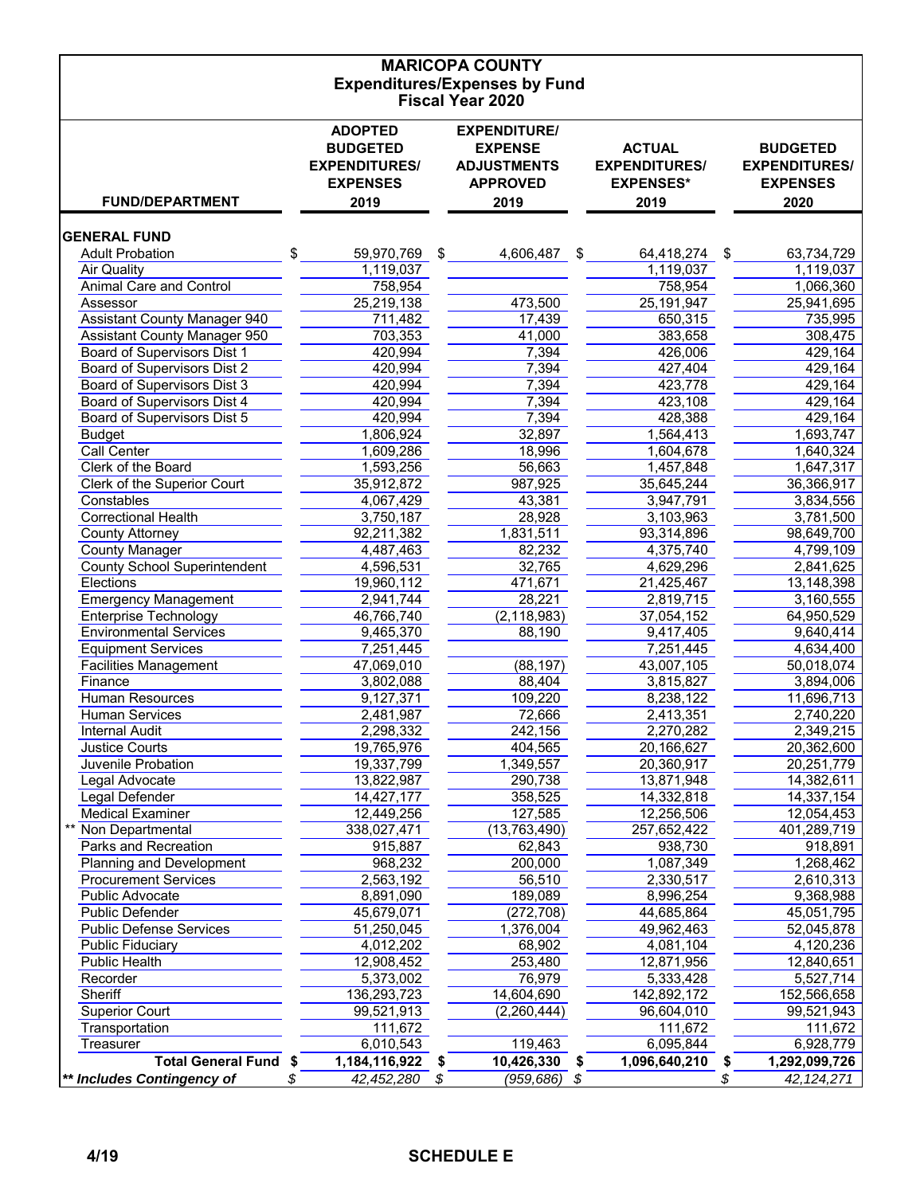| <b>MARICOPA COUNTY</b>                           |                                  |                             |                            |                                  |  |  |  |  |  |  |  |
|--------------------------------------------------|----------------------------------|-----------------------------|----------------------------|----------------------------------|--|--|--|--|--|--|--|
| <b>Expenditures/Expenses by Fund</b>             |                                  |                             |                            |                                  |  |  |  |  |  |  |  |
|                                                  |                                  | <b>Fiscal Year 2020</b>     |                            |                                  |  |  |  |  |  |  |  |
|                                                  | <b>ADOPTED</b>                   | <b>EXPENDITURE/</b>         |                            |                                  |  |  |  |  |  |  |  |
|                                                  | <b>BUDGETED</b>                  | <b>EXPENSE</b>              | <b>ACTUAL</b>              | <b>BUDGETED</b>                  |  |  |  |  |  |  |  |
|                                                  | <b>EXPENDITURES/</b>             | <b>ADJUSTMENTS</b>          | <b>EXPENDITURES/</b>       | <b>EXPENDITURES/</b>             |  |  |  |  |  |  |  |
|                                                  | <b>EXPENSES</b>                  | <b>APPROVED</b>             | <b>EXPENSES*</b>           | <b>EXPENSES</b>                  |  |  |  |  |  |  |  |
| <b>FUND/DEPARTMENT</b>                           | 2019                             | 2019                        | 2019                       | 2020                             |  |  |  |  |  |  |  |
| <b>GENERAL FUND</b>                              |                                  |                             |                            |                                  |  |  |  |  |  |  |  |
| <b>Adult Probation</b>                           | \$<br>59,970,769                 | \$<br>4,606,487<br>\$       | 64,418,274 \$              | 63,734,729                       |  |  |  |  |  |  |  |
| <b>Air Quality</b>                               | 1,119,037                        |                             | 1,119,037                  | 1,119,037                        |  |  |  |  |  |  |  |
| <b>Animal Care and Control</b>                   | 758,954                          |                             | 758,954                    | 1,066,360                        |  |  |  |  |  |  |  |
| Assessor                                         | 25,219,138                       | 473,500                     | 25,191,947                 | 25,941,695                       |  |  |  |  |  |  |  |
| <b>Assistant County Manager 940</b>              | 711,482                          | 17,439                      | 650,315                    | 735,995                          |  |  |  |  |  |  |  |
| <b>Assistant County Manager 950</b>              | 703,353                          | 41,000                      | 383,658                    | 308,475                          |  |  |  |  |  |  |  |
| Board of Supervisors Dist 1                      | 420,994                          | 7,394                       | 426,006                    | 429,164                          |  |  |  |  |  |  |  |
| Board of Supervisors Dist 2                      | 420,994                          | 7,394                       | 427,404                    | 429,164                          |  |  |  |  |  |  |  |
| Board of Supervisors Dist 3                      | 420,994                          | 7,394                       | 423,778                    | 429,164                          |  |  |  |  |  |  |  |
| Board of Supervisors Dist 4                      | 420,994                          | 7,394                       | 423,108                    | 429,164                          |  |  |  |  |  |  |  |
| Board of Supervisors Dist 5                      | 420,994                          | 7,394                       | 428,388                    | 429,164                          |  |  |  |  |  |  |  |
| <b>Budget</b>                                    | 1,806,924                        | 32,897                      | 1,564,413                  | 1,693,747                        |  |  |  |  |  |  |  |
| <b>Call Center</b>                               | 1,609,286                        | 18,996                      | 1,604,678                  | 1,640,324                        |  |  |  |  |  |  |  |
| Clerk of the Board                               | 1,593,256                        | 56,663                      | 1,457,848                  | 1,647,317                        |  |  |  |  |  |  |  |
| Clerk of the Superior Court                      | 35,912,872                       | 987,925                     | 35,645,244                 | 36,366,917                       |  |  |  |  |  |  |  |
| Constables                                       | 4,067,429                        | 43,381                      | 3,947,791                  | 3,834,556                        |  |  |  |  |  |  |  |
| <b>Correctional Health</b>                       | 3,750,187                        | 28,928                      | 3,103,963                  | 3,781,500                        |  |  |  |  |  |  |  |
| <b>County Attorney</b><br><b>County Manager</b>  | 92,211,382<br>4,487,463          | 1,831,511<br>82,232         | 93,314,896<br>4,375,740    | 98,649,700<br>4,799,109          |  |  |  |  |  |  |  |
|                                                  | 4,596,531                        | 32,765                      | 4,629,296                  | 2,841,625                        |  |  |  |  |  |  |  |
| <b>County School Superintendent</b><br>Elections | 19,960,112                       | 471,671                     | 21,425,467                 | 13,148,398                       |  |  |  |  |  |  |  |
| <b>Emergency Management</b>                      | 2,941,744                        | 28,221                      | 2,819,715                  | 3,160,555                        |  |  |  |  |  |  |  |
| <b>Enterprise Technology</b>                     | 46,766,740                       | (2, 118, 983)               | 37,054,152                 | 64,950,529                       |  |  |  |  |  |  |  |
| <b>Environmental Services</b>                    | 9,465,370                        | 88,190                      | 9,417,405                  | 9,640,414                        |  |  |  |  |  |  |  |
| <b>Equipment Services</b>                        | 7,251,445                        |                             | 7,251,445                  | 4,634,400                        |  |  |  |  |  |  |  |
| <b>Facilities Management</b>                     | 47,069,010                       | (88, 197)                   | 43,007,105                 | 50,018,074                       |  |  |  |  |  |  |  |
| Finance                                          | 3,802,088                        | 88,404                      | 3,815,827                  | 3,894,006                        |  |  |  |  |  |  |  |
| Human Resources                                  | 9,127,371                        | 109,220                     | 8,238,122                  | 11,696,713                       |  |  |  |  |  |  |  |
| <b>Human Services</b>                            | 2,481,987                        | 72,666                      | 2,413,351                  | 2,740,220                        |  |  |  |  |  |  |  |
| <b>Internal Audit</b>                            | 2,298,332                        | 242,156                     | 2,270,282                  | 2,349,215                        |  |  |  |  |  |  |  |
| <b>Justice Courts</b>                            | 19,765,976                       | 404,565                     | 20,166,627                 | 20,362,600                       |  |  |  |  |  |  |  |
| Juvenile Probation                               | 19,337,799                       | 1,349,557                   | 20,360,917                 | 20,251,779                       |  |  |  |  |  |  |  |
| Legal Advocate                                   | 13,822,987                       | 290,738                     | 13,871,948                 | 14,382,611                       |  |  |  |  |  |  |  |
| Legal Defender                                   | 14,427,177                       | 358,525                     | 14,332,818                 | 14,337,154                       |  |  |  |  |  |  |  |
| <b>Medical Examiner</b>                          | 12,449,256                       | 127,585                     | 12,256,506                 | 12,054,453                       |  |  |  |  |  |  |  |
| Non Departmental                                 | 338,027,471                      | (13, 763, 490)              | 257,652,422                | 401,289,719                      |  |  |  |  |  |  |  |
| Parks and Recreation                             | 915,887                          | 62,843                      | 938,730                    | 918,891                          |  |  |  |  |  |  |  |
| Planning and Development                         | 968,232                          | 200,000                     | 1,087,349                  | 1,268,462                        |  |  |  |  |  |  |  |
| <b>Procurement Services</b>                      | 2,563,192                        | 56,510                      | 2,330,517                  | 2,610,313                        |  |  |  |  |  |  |  |
| Public Advocate                                  | 8,891,090                        | 189,089                     | 8,996,254                  | 9,368,988                        |  |  |  |  |  |  |  |
| <b>Public Defender</b>                           | 45,679,071                       | (272, 708)                  | 44,685,864                 | 45,051,795                       |  |  |  |  |  |  |  |
| <b>Public Defense Services</b>                   | 51,250,045                       | 1,376,004                   | 49,962,463                 | 52,045,878                       |  |  |  |  |  |  |  |
| <b>Public Fiduciary</b>                          | 4,012,202                        | 68,902                      | 4,081,104                  | 4,120,236                        |  |  |  |  |  |  |  |
| <b>Public Health</b>                             | 12,908,452                       | 253,480                     | 12,871,956                 | 12,840,651                       |  |  |  |  |  |  |  |
| Recorder                                         | 5,373,002                        | 76,979                      | 5,333,428                  | 5,527,714                        |  |  |  |  |  |  |  |
| Sheriff                                          | 136,293,723                      | 14,604,690                  | 142,892,172                | 152,566,658                      |  |  |  |  |  |  |  |
| <b>Superior Court</b>                            | 99,521,913                       | (2,260,444)                 | 96,604,010                 | 99,521,943                       |  |  |  |  |  |  |  |
| Transportation<br>Treasurer                      | 111,672                          |                             | 111,672                    | 111,672                          |  |  |  |  |  |  |  |
| <b>Total General Fund</b>                        | 6,010,543<br>1,184,116,922<br>\$ | 119,463<br>10,426,330<br>\$ | 6,095,844<br>1,096,640,210 | 6,928,779<br>1,292,099,726<br>\$ |  |  |  |  |  |  |  |
| ** Includes Contingency of                       | 42,452,280<br>Y.                 | (959,686)<br>\$<br>\$       |                            | 42, 124, 271<br>\$               |  |  |  |  |  |  |  |
|                                                  |                                  |                             |                            |                                  |  |  |  |  |  |  |  |

### **4/19 SCHEDULE E**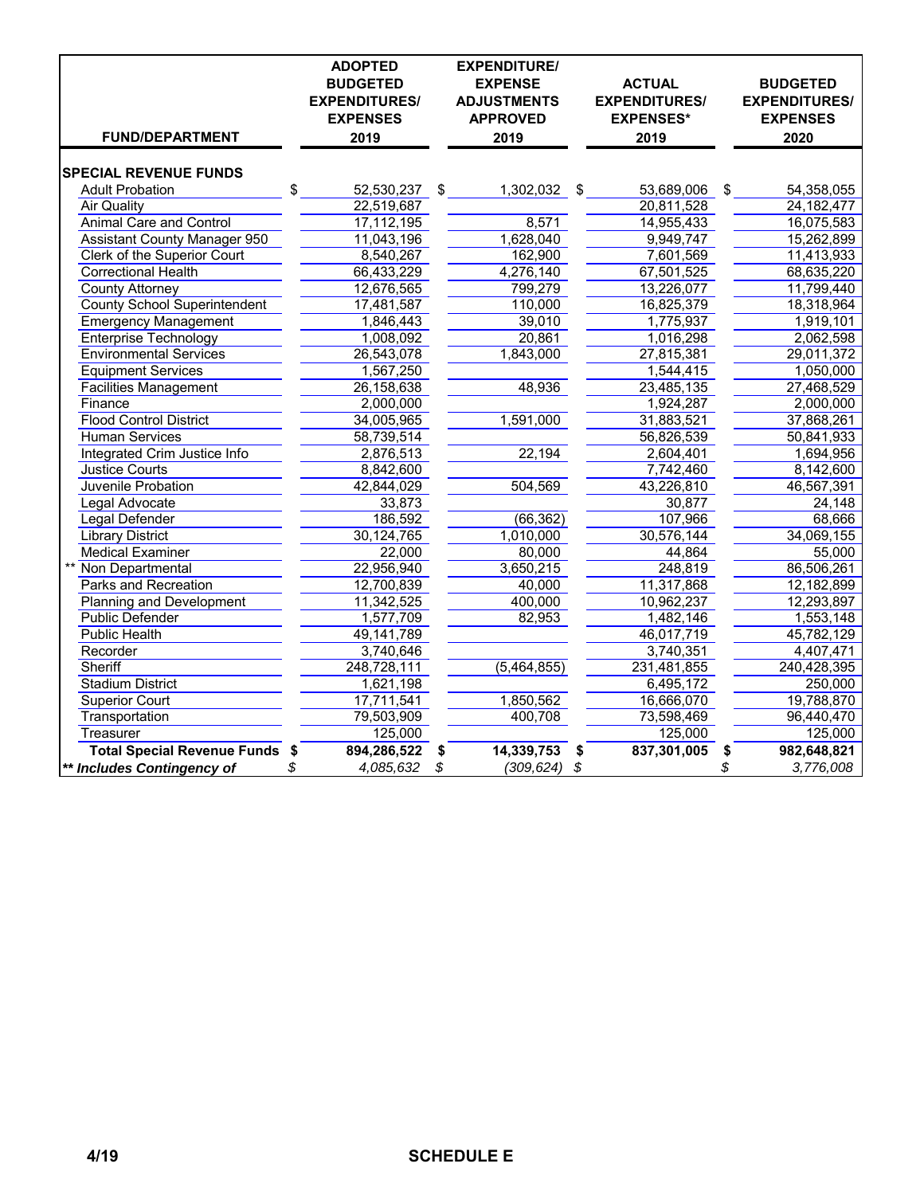| <b>FUND/DEPARTMENT</b>              | <b>ADOPTED</b><br><b>BUDGETED</b><br><b>EXPENDITURES/</b><br><b>EXPENSES</b><br>2019 |                           | <b>EXPENDITURE/</b><br><b>EXPENSE</b><br><b>ADJUSTMENTS</b><br><b>APPROVED</b><br>2019 | <b>ACTUAL</b><br><b>EXPENDITURES/</b><br><b>EXPENSES*</b><br>2019 | <b>BUDGETED</b><br><b>EXPENDITURES/</b><br><b>EXPENSES</b><br>2020 |
|-------------------------------------|--------------------------------------------------------------------------------------|---------------------------|----------------------------------------------------------------------------------------|-------------------------------------------------------------------|--------------------------------------------------------------------|
|                                     |                                                                                      |                           |                                                                                        |                                                                   |                                                                    |
| <b>SPECIAL REVENUE FUNDS</b>        |                                                                                      |                           |                                                                                        |                                                                   |                                                                    |
| <b>Adult Probation</b>              | \$<br>52,530,237                                                                     | $\boldsymbol{\mathsf{S}}$ | 1,302,032 \$                                                                           | 53,689,006                                                        | \$<br>54,358,055                                                   |
| Air Quality                         | 22,519,687                                                                           |                           |                                                                                        | 20,811,528                                                        | 24, 182, 477                                                       |
| <b>Animal Care and Control</b>      | 17,112,195                                                                           |                           | 8,571                                                                                  | 14,955,433                                                        | 16,075,583                                                         |
| <b>Assistant County Manager 950</b> | 11,043,196                                                                           |                           | 1,628,040                                                                              | 9,949,747                                                         | 15,262,899                                                         |
| Clerk of the Superior Court         | 8,540,267                                                                            |                           | 162,900                                                                                | 7,601,569                                                         | 11,413,933                                                         |
| <b>Correctional Health</b>          | 66,433,229                                                                           |                           | 4,276,140                                                                              | 67,501,525                                                        | 68,635,220                                                         |
| <b>County Attorney</b>              | 12,676,565                                                                           |                           | 799,279                                                                                | 13,226,077                                                        | 11,799,440                                                         |
| <b>County School Superintendent</b> | 17,481,587                                                                           |                           | 110,000                                                                                | 16,825,379                                                        | 18,318,964                                                         |
| <b>Emergency Management</b>         | 1,846,443                                                                            |                           | 39,010                                                                                 | 1,775,937                                                         | 1,919,101                                                          |
| Enterprise Technology               | 1,008,092                                                                            |                           | 20,861                                                                                 | 1,016,298                                                         | 2,062,598                                                          |
| <b>Environmental Services</b>       | 26,543,078                                                                           |                           | 1,843,000                                                                              | 27,815,381                                                        | 29,011,372                                                         |
| <b>Equipment Services</b>           | 1,567,250                                                                            |                           |                                                                                        | 1,544,415                                                         | 1,050,000                                                          |
| <b>Facilities Management</b>        | 26,158,638                                                                           |                           | 48,936                                                                                 | 23,485,135                                                        | 27,468,529                                                         |
| Finance                             | 2,000,000                                                                            |                           |                                                                                        | 1,924,287                                                         | 2,000,000                                                          |
| <b>Flood Control District</b>       | 34,005,965                                                                           |                           | 1,591,000                                                                              | 31,883,521                                                        | 37,868,261                                                         |
| <b>Human Services</b>               | 58,739,514                                                                           |                           |                                                                                        | 56,826,539                                                        | 50,841,933                                                         |
| Integrated Crim Justice Info        | 2,876,513                                                                            |                           | 22,194                                                                                 | 2,604,401                                                         | 1,694,956                                                          |
| <b>Justice Courts</b>               | 8,842,600                                                                            |                           |                                                                                        | 7,742,460                                                         | 8,142,600                                                          |
| Juvenile Probation                  | 42,844,029                                                                           |                           | 504,569                                                                                | 43,226,810                                                        | 46,567,391                                                         |
| Legal Advocate                      | 33,873                                                                               |                           |                                                                                        | 30,877                                                            | 24,148                                                             |
| Legal Defender                      | 186,592                                                                              |                           | (66, 362)                                                                              | 107,966                                                           | 68,666                                                             |
| <b>Library District</b>             | 30,124,765                                                                           |                           | 1,010,000                                                                              | 30,576,144                                                        | 34,069,155                                                         |
| <b>Medical Examiner</b>             | 22,000                                                                               |                           | 80,000                                                                                 | 44,864                                                            | 55,000                                                             |
| Non Departmental                    | 22,956,940                                                                           |                           | 3,650,215                                                                              | 248,819                                                           | 86,506,261                                                         |
| <b>Parks and Recreation</b>         | 12,700,839                                                                           |                           | 40,000                                                                                 | 11,317,868                                                        | 12,182,899                                                         |
| <b>Planning and Development</b>     | 11,342,525                                                                           |                           | 400,000                                                                                | 10,962,237                                                        | 12,293,897                                                         |
| <b>Public Defender</b>              | 1,577,709                                                                            |                           | 82,953                                                                                 | 1,482,146                                                         | 1,553,148                                                          |
| <b>Public Health</b>                | 49,141,789                                                                           |                           |                                                                                        | 46,017,719                                                        | 45,782,129                                                         |
| Recorder                            | 3,740,646                                                                            |                           |                                                                                        | 3,740,351                                                         | 4,407,471                                                          |
| Sheriff                             | 248,728,111                                                                          |                           | (5,464,855)                                                                            | 231,481,855                                                       | 240,428,395                                                        |
| <b>Stadium District</b>             | 1,621,198                                                                            |                           |                                                                                        | 6,495,172                                                         | 250,000                                                            |
| <b>Superior Court</b>               | 17,711,541                                                                           |                           | 1,850,562                                                                              | 16,666,070                                                        | 19,788,870                                                         |
| Transportation                      | 79,503,909                                                                           |                           | 400,708                                                                                | 73,598,469                                                        | 96,440,470                                                         |
| Treasurer                           | 125,000                                                                              |                           |                                                                                        | 125,000                                                           | 125,000                                                            |
| Total Special Revenue Funds \$      | 894,286,522                                                                          | \$                        | 14,339,753                                                                             | \$<br>837,301,005                                                 | \$<br>982,648,821                                                  |
| ** Includes Contingency of          | \$<br>4,085,632                                                                      | \$                        | $(309, 624)$ \$                                                                        |                                                                   | \$<br>3,776,008                                                    |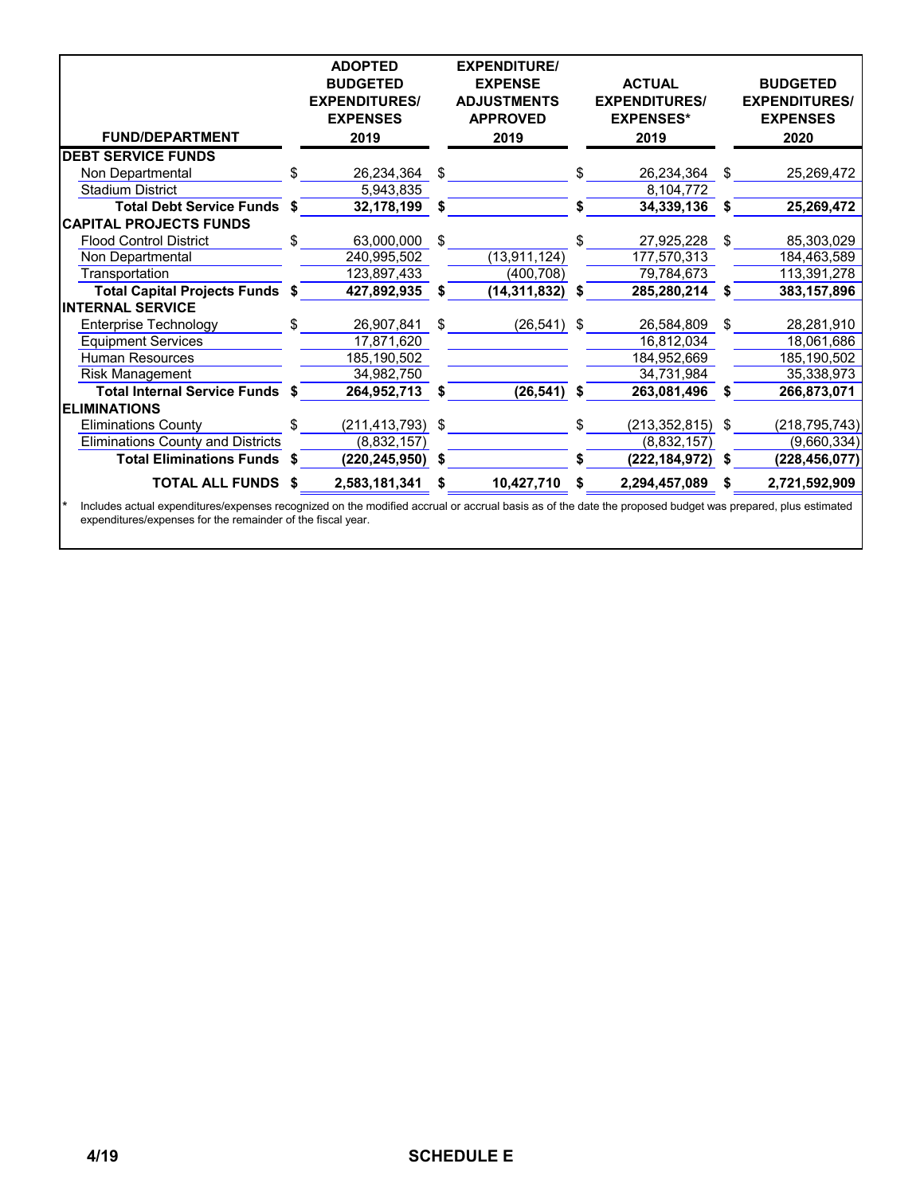|                                          |     | <b>ADOPTED</b><br><b>BUDGETED</b><br><b>EXPENDITURES/</b><br><b>EXPENSES</b> |    | <b>EXPENDITURE/</b><br><b>EXPENSE</b><br><b>ADJUSTMENTS</b><br><b>APPROVED</b> |    | <b>ACTUAL</b><br><b>EXPENDITURES/</b><br><b>EXPENSES*</b> |    | <b>BUDGETED</b><br><b>EXPENDITURES/</b><br><b>EXPENSES</b> |
|------------------------------------------|-----|------------------------------------------------------------------------------|----|--------------------------------------------------------------------------------|----|-----------------------------------------------------------|----|------------------------------------------------------------|
| <b>FUND/DEPARTMENT</b>                   |     | 2019                                                                         |    | 2019                                                                           |    | 2019                                                      |    | 2020                                                       |
| <b>DEBT SERVICE FUNDS</b>                |     |                                                                              |    |                                                                                |    |                                                           |    |                                                            |
| Non Departmental                         | \$. | 26,234,364                                                                   | \$ |                                                                                | \$ | 26,234,364                                                | \$ | 25,269,472                                                 |
| <b>Stadium District</b>                  |     | 5,943,835                                                                    |    |                                                                                |    | 8,104,772                                                 |    |                                                            |
| <b>Total Debt Service Funds \$</b>       |     | 32,178,199                                                                   | S  |                                                                                | S  | 34,339,136                                                | S  | 25,269,472                                                 |
| <b>CAPITAL PROJECTS FUNDS</b>            |     |                                                                              |    |                                                                                |    |                                                           |    |                                                            |
| <b>Flood Control District</b>            | \$. | 63,000,000                                                                   | \$ |                                                                                |    | 27,925,228                                                | \$ | 85,303,029                                                 |
| Non Departmental                         |     | 240,995,502                                                                  |    | (13, 911, 124)                                                                 |    | 177,570,313                                               |    | 184,463,589                                                |
| Transportation                           |     | 123,897,433                                                                  |    | (400, 708)                                                                     |    | 79,784,673                                                |    | 113,391,278                                                |
| <b>Total Capital Projects Funds \$</b>   |     | 427,892,935                                                                  | S  | (14, 311, 832)                                                                 | S  | 285,280,214                                               | S  | 383,157,896                                                |
| <b>INTERNAL SERVICE</b>                  |     |                                                                              |    |                                                                                |    |                                                           |    |                                                            |
| <b>Enterprise Technology</b>             | \$  | 26,907,841                                                                   | \$ | $(26, 541)$ \$                                                                 |    | 26,584,809                                                | \$ | 28,281,910                                                 |
| <b>Equipment Services</b>                |     | 17,871,620                                                                   |    |                                                                                |    | 16,812,034                                                |    | 18,061,686                                                 |
| <b>Human Resources</b>                   |     | 185,190,502                                                                  |    |                                                                                |    | 184,952,669                                               |    | 185,190,502                                                |
| <b>Risk Management</b>                   |     | 34,982,750                                                                   |    |                                                                                |    | 34,731,984                                                |    | 35,338,973                                                 |
| Total Internal Service Funds \$          |     | 264,952,713                                                                  | S  | $(26, 541)$ \$                                                                 |    | 263,081,496                                               | S  | 266,873,071                                                |
| <b>ELIMINATIONS</b>                      |     |                                                                              |    |                                                                                |    |                                                           |    |                                                            |
| <b>Eliminations County</b>               |     | (211,413,793) \$                                                             |    |                                                                                | \$ | $(213, 352, 815)$ \$                                      |    | (218,795,743)                                              |
| <b>Eliminations County and Districts</b> |     | (8,832,157)                                                                  |    |                                                                                |    | (8,832,157)                                               |    | (9,660,334)                                                |
| <b>Total Eliminations Funds</b>          | -S  | (220, 245, 950)                                                              |    |                                                                                |    | (222, 184, 972)                                           | \$ | (228, 456, 077)                                            |
| <b>TOTAL ALL FUNDS</b>                   | S   | 2,583,181,341                                                                | S  | 10,427,710                                                                     | S  | 2,294,457,089                                             | \$ | 2,721,592,909                                              |

\* Includes actual expenditures/expenses recognized on the modified accrual or accrual basis as of the date the proposed budget was prepared, plus estimated expenditures/expenses for the remainder of the fiscal year.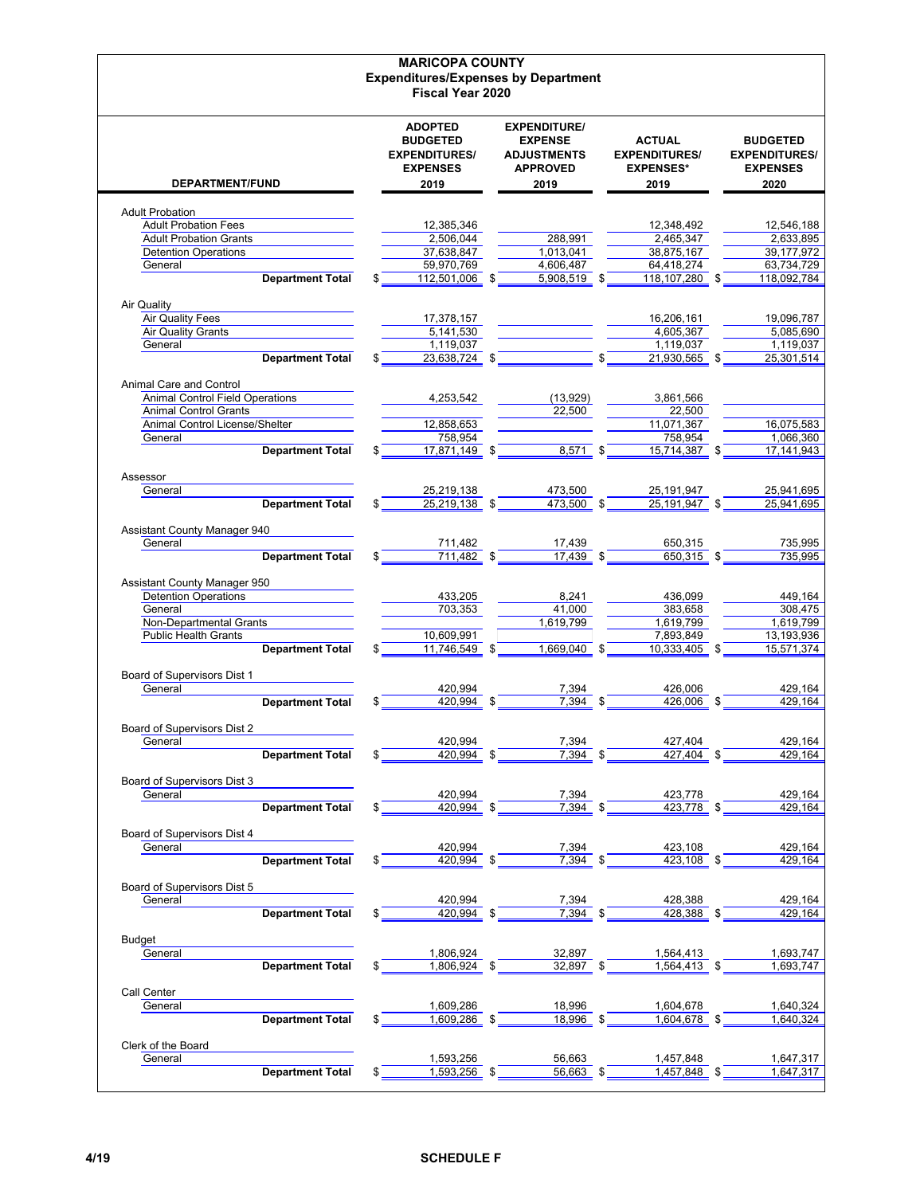|                                                        | <b>MARICOPA COUNTY</b>                     |                     |                              |                        |
|--------------------------------------------------------|--------------------------------------------|---------------------|------------------------------|------------------------|
|                                                        | <b>Expenditures/Expenses by Department</b> |                     |                              |                        |
|                                                        | <b>Fiscal Year 2020</b>                    |                     |                              |                        |
|                                                        | <b>ADOPTED</b>                             | <b>EXPENDITURE/</b> |                              |                        |
|                                                        | <b>BUDGETED</b>                            | <b>EXPENSE</b>      | <b>ACTUAL</b>                | <b>BUDGETED</b>        |
|                                                        | <b>EXPENDITURES/</b>                       | <b>ADJUSTMENTS</b>  | <b>EXPENDITURES/</b>         | <b>EXPENDITURES/</b>   |
|                                                        | <b>EXPENSES</b>                            | <b>APPROVED</b>     | <b>EXPENSES*</b>             | <b>EXPENSES</b>        |
| <b>DEPARTMENT/FUND</b>                                 | 2019                                       | 2019                | 2019                         | 2020                   |
|                                                        |                                            |                     |                              |                        |
| <b>Adult Probation</b><br><b>Adult Probation Fees</b>  | 12,385,346                                 |                     | 12,348,492                   | 12,546,188             |
| <b>Adult Probation Grants</b>                          | 2,506,044                                  | 288,991             | 2,465,347                    | 2,633,895              |
| <b>Detention Operations</b>                            | 37,638,847                                 | 1,013,041           | 38,875,167                   | 39,177,972             |
| General                                                | 59,970,769                                 | 4,606,487           | 64,418,274                   | 63,734,729             |
| <b>Department Total</b>                                | 112,501,006 \$                             | 5,908,519 \$        | 118,107,280 \$               | 118,092,784            |
| Air Quality                                            |                                            |                     |                              |                        |
| <b>Air Quality Fees</b>                                | 17,378,157                                 |                     | 16,206,161                   | 19,096,787             |
| <b>Air Quality Grants</b>                              | 5,141,530                                  |                     | 4,605,367                    | 5,085,690              |
| General                                                | 1,119,037                                  |                     | 1,119,037                    | 1,119,037              |
| <b>Department Total</b>                                | 23,638,724 \$                              |                     | \$<br>21,930,565 \$          | 25,301,514             |
| Animal Care and Control                                |                                            |                     |                              |                        |
| <b>Animal Control Field Operations</b>                 | 4,253,542                                  | (13,929)            | 3,861,566                    |                        |
| <b>Animal Control Grants</b>                           |                                            | 22,500              | 22,500                       |                        |
| Animal Control License/Shelter                         | 12,858,653                                 |                     | 11,071,367                   | 16,075,583             |
| General                                                | 758,954                                    |                     | 758,954                      | 1,066,360              |
| <b>Department Total</b>                                | \$<br>17,871,149 \$                        | 8,571 \$            | 15,714,387 \$                | 17, 141, 943           |
| Assessor                                               |                                            |                     |                              |                        |
| General                                                | 25,219,138                                 | 473,500             | 25,191,947                   | 25,941,695             |
| <b>Department Total</b>                                | 25,219,138 \$                              | 473,500 \$          | 25,191,947 \$                | 25,941,695             |
|                                                        |                                            |                     |                              |                        |
| Assistant County Manager 940                           |                                            |                     |                              |                        |
| General                                                | 711,482<br>711,482 \$                      | 17,439<br>17,439 \$ | 650,315<br>650,315 \$        | 735,995                |
| <b>Department Total</b>                                |                                            |                     |                              | 735,995                |
| Assistant County Manager 950                           |                                            |                     |                              |                        |
| <b>Detention Operations</b>                            | 433,205                                    | 8,241               | 436,099                      | 449,164                |
| General                                                | 703,353                                    | 41,000              | 383,658                      | 308,475                |
| <b>Non-Departmental Grants</b>                         |                                            | 1,619,799           | 1,619,799                    | 1,619,799              |
| <b>Public Health Grants</b><br><b>Department Total</b> | 10,609,991<br>11,746,549 \$                | 1,669,040 \$        | 7,893,849<br>$10,333,405$ \$ | 13,193,936             |
|                                                        |                                            |                     |                              | 15,571,374             |
| Board of Supervisors Dist 1                            |                                            |                     |                              |                        |
| General                                                | 420,994                                    | 7,394               | 426,006                      | 429,164                |
| <b>Department Total</b>                                | 420.994                                    | 7.394               | 426.006                      | 429,164                |
| Board of Supervisors Dist 2                            |                                            |                     |                              |                        |
| General                                                | 420,994                                    | 7,394               | 427,404                      | 429,164                |
| <b>Department Total</b>                                | 420.994<br>\$                              | 7.394<br>-\$        | 427.404 \$                   | 429,164                |
|                                                        |                                            |                     |                              |                        |
| Board of Supervisors Dist 3                            |                                            |                     |                              |                        |
| General                                                | 420,994<br>420,994 \$                      | 7,394<br>7,394 \$   | 423,778<br>$423,778$ \$      | 429,164<br>429,164     |
| <b>Department Total</b>                                |                                            |                     |                              |                        |
| Board of Supervisors Dist 4                            |                                            |                     |                              |                        |
| General                                                | 420,994                                    | 7,394               | 423,108                      | 429,164                |
| <b>Department Total</b>                                | 420,994<br>\$                              | 7,394               | 423,108 \$                   | 429,164                |
|                                                        |                                            |                     |                              |                        |
| Board of Supervisors Dist 5<br>General                 | 420,994                                    | 7,394               | 428,388                      | 429,164                |
| <b>Department Total</b>                                | 420,994<br>\$                              | 7,394               | 428.388                      | 429,164                |
|                                                        |                                            |                     |                              |                        |
| Budget                                                 |                                            |                     |                              |                        |
| General                                                | 1,806,924                                  | 32,897              | 1,564,413                    | 1,693,747              |
| <b>Department Total</b>                                | 1,806,924 \$                               | 32,897 \$           | 1,564,413 \$                 | 1,693,747              |
| Call Center                                            |                                            |                     |                              |                        |
| General                                                | 1,609,286                                  | 18,996              | 1,604,678                    | 1,640,324              |
| <b>Department Total</b>                                | 1,609,286                                  | 18,996              | 1,604,678                    | 1,640,324              |
|                                                        |                                            |                     |                              |                        |
| Clerk of the Board                                     |                                            |                     |                              |                        |
| General<br><b>Department Total</b>                     | 1,593,256<br>$1,593,256$ \$                | 56,663<br>56,663 \$ | 1,457,848<br>$1,457,848$ \$  | 1,647,317<br>1,647,317 |
|                                                        |                                            |                     |                              |                        |
|                                                        |                                            |                     |                              |                        |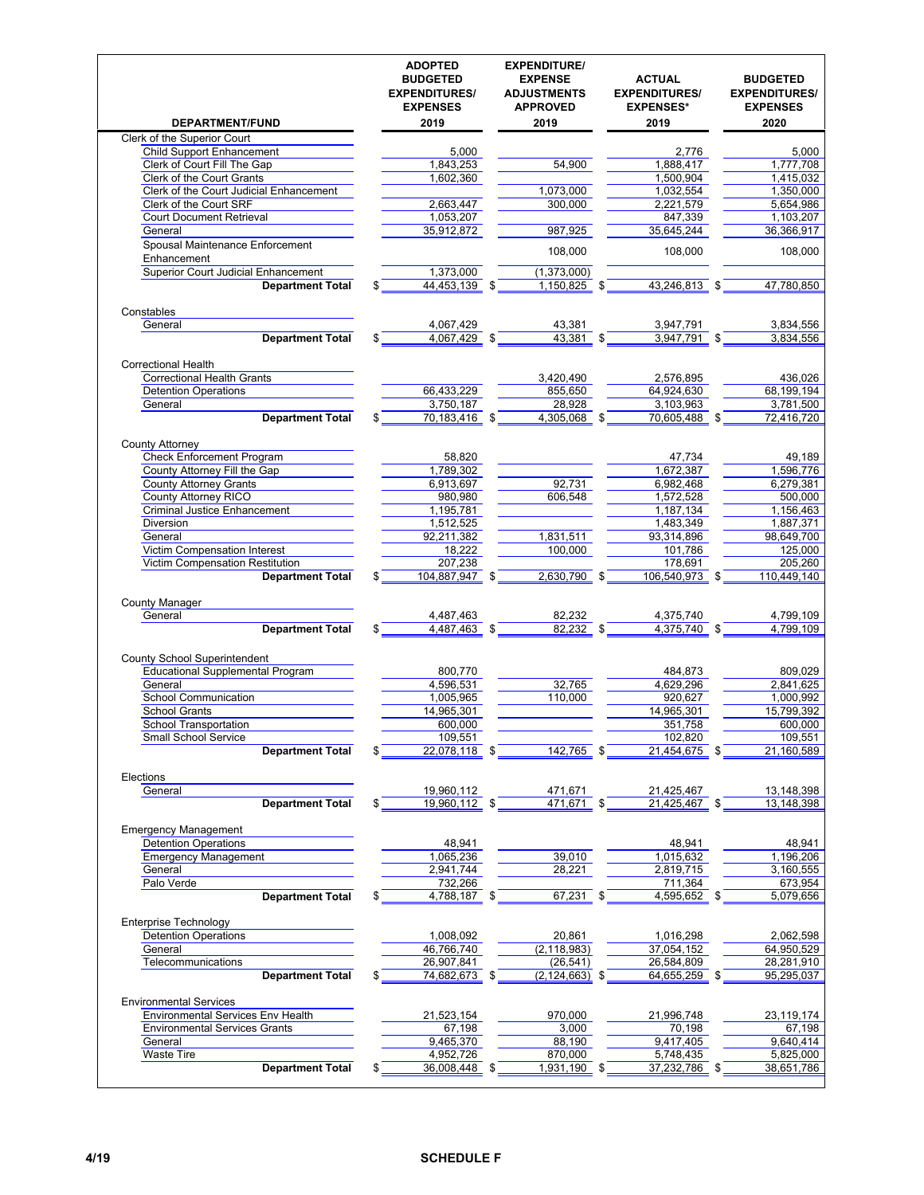|                                                                 | <b>ADOPTED</b><br><b>BUDGETED</b><br><b>EXPENDITURES/</b><br><b>EXPENSES</b> | <b>EXPENDITURE/</b><br><b>EXPENSE</b><br><b>ADJUSTMENTS</b><br><b>APPROVED</b> | <b>ACTUAL</b><br><b>EXPENDITURES/</b><br><b>EXPENSES*</b> | <b>BUDGETED</b><br><b>EXPENDITURES/</b><br><b>EXPENSES</b> |
|-----------------------------------------------------------------|------------------------------------------------------------------------------|--------------------------------------------------------------------------------|-----------------------------------------------------------|------------------------------------------------------------|
| DEPARTMENT/FUND                                                 | 2019                                                                         | 2019                                                                           | 2019                                                      | 2020                                                       |
| Clerk of the Superior Court<br><b>Child Support Enhancement</b> | 5,000                                                                        |                                                                                | 2,776                                                     | 5,000                                                      |
| Clerk of Court Fill The Gap                                     | 1,843,253                                                                    | 54,900                                                                         | 1,888,417                                                 | 1,777,708                                                  |
| <b>Clerk of the Court Grants</b>                                | 1,602,360                                                                    |                                                                                | 1,500,904                                                 | 1,415,032                                                  |
| Clerk of the Court Judicial Enhancement                         |                                                                              | 1,073,000                                                                      | 1,032,554                                                 | 1,350,000                                                  |
| Clerk of the Court SRF                                          | 2,663,447                                                                    | 300,000                                                                        | 2,221,579                                                 | 5,654,986                                                  |
| <b>Court Document Retrieval</b>                                 | 1,053,207                                                                    |                                                                                | 847,339                                                   | 1,103,207                                                  |
| General                                                         | 35,912,872                                                                   | 987,925                                                                        | 35,645,244                                                | 36,366,917                                                 |
| Spousal Maintenance Enforcement<br>Enhancement                  |                                                                              | 108,000                                                                        | 108,000                                                   | 108,000                                                    |
| <b>Superior Court Judicial Enhancement</b>                      | 1,373,000                                                                    | (1,373,000)                                                                    |                                                           |                                                            |
| <b>Department Total</b>                                         | 44,453,139 \$                                                                | 1,150,825                                                                      | 43,246,813 \$                                             | 47,780,850                                                 |
| Constables                                                      |                                                                              |                                                                                |                                                           |                                                            |
| General                                                         | 4,067,429                                                                    | 43,381                                                                         | 3,947,791                                                 | 3,834,556                                                  |
| <b>Department Total</b>                                         | 4,067,429                                                                    | $43,381$ \$                                                                    | 3,947,791 \$                                              | 3,834,556                                                  |
|                                                                 |                                                                              |                                                                                |                                                           |                                                            |
| <b>Correctional Health</b>                                      |                                                                              |                                                                                |                                                           |                                                            |
| <b>Correctional Health Grants</b>                               |                                                                              | 3,420,490                                                                      | 2,576,895                                                 | 436,026                                                    |
| <b>Detention Operations</b>                                     | 66.433.229                                                                   | 855,650                                                                        | 64,924,630                                                | 68,199,194                                                 |
| General                                                         | 3,750,187                                                                    | 28,928                                                                         | 3,103,963                                                 | 3,781,500                                                  |
| <b>Department Total</b>                                         | $70,183,416$ \$                                                              | 4,305,068 \$                                                                   | 70,605,488 \$                                             | 72,416,720                                                 |
| <b>County Attorney</b>                                          |                                                                              |                                                                                |                                                           |                                                            |
| <b>Check Enforcement Program</b>                                | 58,820                                                                       |                                                                                | 47,734                                                    | 49,189                                                     |
| County Attorney Fill the Gap<br><b>County Attorney Grants</b>   | 1,789,302<br>6,913,697                                                       | 92,731                                                                         | 1,672,387<br>6,982,468                                    | 1,596,776<br>6,279,381                                     |
| County Attorney RICO                                            | 980,980                                                                      | 606,548                                                                        | 1,572,528                                                 | 500,000                                                    |
| <b>Criminal Justice Enhancement</b>                             | 1,195,781                                                                    |                                                                                | 1,187,134                                                 | 1,156,463                                                  |
| <b>Diversion</b>                                                | 1,512,525                                                                    |                                                                                | 1,483,349                                                 | 1,887,371                                                  |
| General                                                         | 92,211,382                                                                   | 1,831,511                                                                      | 93,314,896                                                | 98,649,700                                                 |
| Victim Compensation Interest                                    | 18,222                                                                       | 100,000                                                                        | 101,786                                                   | 125,000                                                    |
| Victim Compensation Restitution                                 | 207,238                                                                      |                                                                                | 178,691                                                   | 205,260                                                    |
| <b>Department Total</b><br><b>County Manager</b><br>General     | 104,887,947 \$<br>4,487,463                                                  | $2,630,790$ \$<br>82,232                                                       | 106,540,973 \$<br>4,375,740                               | 110,449,140<br>4,799,109                                   |
| <b>Department Total</b>                                         | 4,487,463 \$                                                                 | $82,232$ \$                                                                    | $4,375,740$ \$                                            | 4,799,109                                                  |
| <b>County School Superintendent</b>                             |                                                                              |                                                                                |                                                           |                                                            |
| <b>Educational Supplemental Program</b><br>General              | 800,770<br>4,596,531                                                         | 32,765                                                                         | 484,873<br>4,629,296                                      | 809,029                                                    |
| School Communication                                            | 1,005,965                                                                    | 110,000                                                                        | 920,627                                                   | 2,841,625<br>1,000,992                                     |
| <b>School Grants</b>                                            | 14,965,301                                                                   |                                                                                | 14.965.301                                                | 15,799,392                                                 |
| School Transportation                                           | 600,000                                                                      |                                                                                | 351,758                                                   | 600,000                                                    |
| Small School Service                                            | 109,551                                                                      |                                                                                | 102,820                                                   | 109,551                                                    |
| <b>Department Total</b>                                         | 22,078,118 \$                                                                | 142,765 \$                                                                     | 21,454,675 \$                                             | 21,160,589                                                 |
| Elections                                                       |                                                                              |                                                                                |                                                           |                                                            |
| General                                                         | 19,960,112                                                                   | 471,671                                                                        | 21,425,467                                                | 13,148,398                                                 |
| <b>Department Total</b>                                         | 19,960,112 \$                                                                | $471,671$ \$                                                                   | $21,425,467$ \$                                           | 13,148,398                                                 |
| <b>Emergency Management</b>                                     |                                                                              |                                                                                |                                                           |                                                            |
| <b>Detention Operations</b>                                     | 48,941                                                                       |                                                                                | 48,941                                                    | 48,941                                                     |
| <b>Emergency Management</b>                                     | 1,065,236                                                                    | 39,010                                                                         | 1,015,632                                                 | 1,196,206                                                  |
| General<br>Palo Verde                                           | 2,941,744<br>732,266                                                         | 28,221                                                                         | 2,819,715                                                 | 3,160,555                                                  |
| <b>Department Total</b>                                         | 4,788,187 \$                                                                 | 67,231 \$                                                                      | 711,364<br>4,595,652 \$                                   | 673,954<br>5,079,656                                       |
| Enterprise Technology                                           |                                                                              |                                                                                |                                                           |                                                            |
| <b>Detention Operations</b>                                     | 1,008,092                                                                    | 20,861                                                                         | 1,016,298                                                 | 2,062,598                                                  |
| General                                                         | 46,766,740                                                                   | (2, 118, 983)                                                                  | 37,054,152                                                | 64,950,529                                                 |
| Telecommunications                                              | 26,907,841                                                                   | (26, 541)                                                                      | 26,584,809                                                | 28,281,910                                                 |
| <b>Department Total</b>                                         | 74,682,673 \$                                                                | $(2, 124, 663)$ \$                                                             | 64,655,259 \$                                             | 95,295,037                                                 |
| <b>Environmental Services</b>                                   |                                                                              |                                                                                |                                                           |                                                            |
| <b>Environmental Services Env Health</b>                        | 21,523,154                                                                   | 970,000                                                                        | 21,996,748                                                | 23,119,174                                                 |
| <b>Environmental Services Grants</b>                            | 67,198                                                                       | 3,000                                                                          | 70,198                                                    | 67,198                                                     |
| General                                                         | 9,465,370                                                                    | 88,190                                                                         | 9,417,405                                                 | 9,640,414                                                  |
| <b>Waste Tire</b>                                               | 4,952,726                                                                    | 870,000                                                                        | 5,748,435                                                 | 5,825,000                                                  |
| <b>Department Total</b>                                         | 36,008,448 \$                                                                | 1,931,190 \$                                                                   | 37,232,786 \$                                             | 38,651,786                                                 |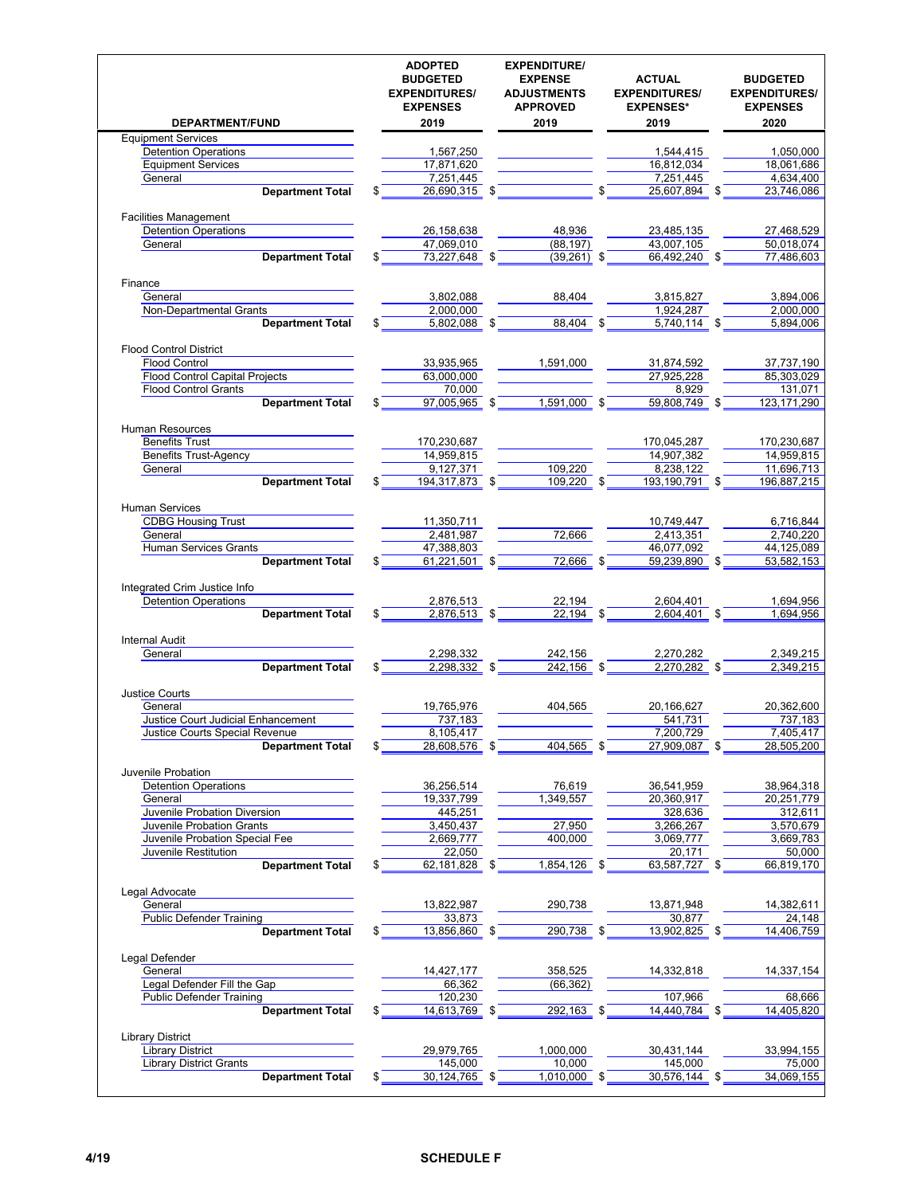| DEPARTMENT/FUND                                                                        | <b>ADOPTED</b><br><b>BUDGETED</b><br><b>EXPENDITURES/</b><br><b>EXPENSES</b><br>2019 | <b>EXPENDITURE/</b><br><b>EXPENSE</b><br><b>ADJUSTMENTS</b><br><b>APPROVED</b><br>2019 | <b>ACTUAL</b><br><b>EXPENDITURES/</b><br><b>EXPENSES*</b><br>2019 | <b>BUDGETED</b><br><b>EXPENDITURES/</b><br><b>EXPENSES</b><br>2020 |
|----------------------------------------------------------------------------------------|--------------------------------------------------------------------------------------|----------------------------------------------------------------------------------------|-------------------------------------------------------------------|--------------------------------------------------------------------|
| <b>Equipment Services</b>                                                              |                                                                                      |                                                                                        |                                                                   |                                                                    |
| <b>Detention Operations</b>                                                            | 1,567,250                                                                            |                                                                                        | 1,544,415                                                         | 1,050,000                                                          |
| <b>Equipment Services</b>                                                              | 17,871,620                                                                           |                                                                                        | 16,812,034                                                        | 18,061,686                                                         |
| General                                                                                | 7,251,445                                                                            |                                                                                        | 7,251,445                                                         | 4,634,400                                                          |
| <b>Department Total</b>                                                                | 26,690,315 \$<br>\$                                                                  |                                                                                        | 25,607,894 \$                                                     | 23,746,086                                                         |
|                                                                                        |                                                                                      |                                                                                        |                                                                   |                                                                    |
| <b>Facilities Management</b>                                                           |                                                                                      |                                                                                        |                                                                   |                                                                    |
| <b>Detention Operations</b>                                                            | 26,158,638                                                                           | 48,936                                                                                 | 23,485,135                                                        | 27,468,529                                                         |
| General                                                                                | 47,069,010                                                                           | (88, 197)                                                                              | 43,007,105                                                        | 50,018,074                                                         |
| <b>Department Total</b>                                                                | 73,227,648 \$<br>\$                                                                  | $(39,261)$ \$                                                                          | 66,492,240 \$                                                     | 77,486,603                                                         |
| Finance                                                                                |                                                                                      |                                                                                        |                                                                   |                                                                    |
| General                                                                                | 3,802,088                                                                            | 88,404                                                                                 | 3,815,827                                                         | 3,894,006                                                          |
| Non-Departmental Grants                                                                | 2,000,000                                                                            |                                                                                        | 1,924,287                                                         | 2,000,000                                                          |
| <b>Department Total</b>                                                                | 5,802,088                                                                            | \$<br>88.404                                                                           | 5,740,114 \$                                                      | 5,894,006                                                          |
|                                                                                        |                                                                                      |                                                                                        |                                                                   |                                                                    |
| <b>Flood Control District</b>                                                          |                                                                                      |                                                                                        |                                                                   |                                                                    |
| <b>Flood Control</b>                                                                   | 33,935,965                                                                           | 1,591,000                                                                              | 31,874,592                                                        | 37,737,190                                                         |
| <b>Flood Control Capital Projects</b>                                                  | 63,000,000                                                                           |                                                                                        | 27,925,228                                                        | 85,303,029                                                         |
| <b>Flood Control Grants</b>                                                            | 70.000                                                                               |                                                                                        | 8,929                                                             | 131,071                                                            |
| <b>Department Total</b>                                                                | 97,005,965 \$<br>\$                                                                  | 1,591,000 \$                                                                           | 59,808,749 \$                                                     | 123.171.290                                                        |
| Human Resources                                                                        |                                                                                      |                                                                                        |                                                                   |                                                                    |
| <b>Benefits Trust</b>                                                                  | 170,230,687                                                                          |                                                                                        | 170,045,287                                                       | 170,230,687                                                        |
| <b>Benefits Trust-Agency</b>                                                           | 14,959,815                                                                           |                                                                                        | 14,907,382                                                        | 14,959,815                                                         |
| General                                                                                | 9,127,371                                                                            | 109,220                                                                                | 8.238.122                                                         | 11,696,713                                                         |
| <b>Department Total</b>                                                                | 194,317,873 \$<br>\$                                                                 | 109,220 \$                                                                             | 193,190,791 \$                                                    | 196,887,215                                                        |
| <b>Human Services</b>                                                                  |                                                                                      |                                                                                        |                                                                   |                                                                    |
| <b>CDBG Housing Trust</b>                                                              | 11,350,711                                                                           |                                                                                        | 10,749,447                                                        | 6,716,844                                                          |
| General                                                                                | 2,481,987                                                                            | 72,666                                                                                 | 2,413,351                                                         | 2,740,220                                                          |
| <b>Human Services Grants</b>                                                           | 47,388,803                                                                           |                                                                                        | 46,077,092                                                        | 44,125,089                                                         |
| <b>Department Total</b>                                                                | 61,221,501 \$<br>\$                                                                  | 72,666 \$                                                                              | 59,239,890 \$                                                     | 53,582,153                                                         |
| Integrated Crim Justice Info<br><b>Detention Operations</b><br><b>Department Total</b> | 2,876,513<br>2,876,513 \$<br>\$                                                      | 22,194<br>$22,194$ \$                                                                  | 2,604,401<br>2,604,401 \$                                         | 1,694,956<br>1,694,956                                             |
| <b>Internal Audit</b>                                                                  |                                                                                      |                                                                                        |                                                                   |                                                                    |
| General                                                                                | 2,298,332                                                                            | 242,156                                                                                | 2,270,282                                                         | 2,349,215                                                          |
| <b>Department Total</b>                                                                | 2.298,332 \$<br>\$                                                                   | 242.156 \$                                                                             | 2,270,282 \$                                                      | 2.349.215                                                          |
| <b>Justice Courts</b>                                                                  |                                                                                      |                                                                                        |                                                                   |                                                                    |
| General                                                                                | 19,765,976                                                                           | 404,565                                                                                | 20.166.627                                                        | 20,362,600                                                         |
| Justice Court Judicial Enhancement                                                     | 737,183                                                                              |                                                                                        | 541,731                                                           | 737,183                                                            |
| Justice Courts Special Revenue                                                         | 8,105,417                                                                            |                                                                                        | 7,200,729                                                         | 7,405,417                                                          |
| <b>Department Total</b>                                                                | 28,608,576 \$<br>\$                                                                  | 404,565 \$                                                                             | 27,909,087 \$                                                     | 28,505,200                                                         |
|                                                                                        |                                                                                      |                                                                                        |                                                                   |                                                                    |
| Juvenile Probation                                                                     |                                                                                      |                                                                                        |                                                                   |                                                                    |
| <b>Detention Operations</b>                                                            | 36,256,514                                                                           | 76,619                                                                                 | 36,541,959                                                        | 38,964,318                                                         |
| General                                                                                | 19,337,799                                                                           | 1,349,557                                                                              | 20,360,917                                                        | 20,251,779                                                         |
| Juvenile Probation Diversion                                                           | 445,251                                                                              |                                                                                        | 328,636                                                           | 312,611                                                            |
| Juvenile Probation Grants                                                              | 3,450,437                                                                            | 27,950                                                                                 | 3,266,267                                                         | 3,570,679                                                          |
| Juvenile Probation Special Fee                                                         | 2,669,777                                                                            | 400,000                                                                                | 3,069,777                                                         | 3,669,783                                                          |
| Juvenile Restitution                                                                   | 22,050                                                                               | 1,854,126 \$                                                                           | 20,171                                                            | 50,000<br>66,819,170                                               |
| <b>Department Total</b>                                                                | 62,181,828 \$                                                                        |                                                                                        | 63,587,727 \$                                                     |                                                                    |
| Legal Advocate                                                                         |                                                                                      |                                                                                        |                                                                   |                                                                    |
| General                                                                                | 13,822,987                                                                           | 290,738                                                                                | 13,871,948                                                        | 14,382,611                                                         |
| <b>Public Defender Training</b>                                                        | 33,873                                                                               |                                                                                        | 30,877                                                            | 24,148                                                             |
| <b>Department Total</b>                                                                | 13,856,860 \$<br>S                                                                   | 290,738 \$                                                                             | 13,902,825 \$                                                     | 14,406,759                                                         |
|                                                                                        |                                                                                      |                                                                                        |                                                                   |                                                                    |
| Legal Defender                                                                         |                                                                                      |                                                                                        |                                                                   |                                                                    |
| General                                                                                | 14,427,177                                                                           | 358,525                                                                                | 14,332,818                                                        | 14,337,154                                                         |
| Legal Defender Fill the Gap                                                            | 66,362                                                                               | (66, 362)                                                                              |                                                                   |                                                                    |
| <b>Public Defender Training</b>                                                        | 120,230                                                                              |                                                                                        | 107,966                                                           | 68,666                                                             |
| <b>Department Total</b>                                                                | 14,613,769 \$<br>\$                                                                  | 292,163 \$                                                                             | 14,440,784 \$                                                     | 14,405,820                                                         |
| <b>Library District</b>                                                                |                                                                                      |                                                                                        |                                                                   |                                                                    |
| <b>Library District</b>                                                                | 29,979,765                                                                           | 1,000,000                                                                              | 30,431,144                                                        | 33,994,155                                                         |
| <b>Library District Grants</b>                                                         | 145,000                                                                              | 10,000                                                                                 | 145,000                                                           | 75,000                                                             |
| <b>Department Total</b>                                                                | 30,124,765 \$<br>\$                                                                  | 1,010,000 \$                                                                           | 30,576,144 \$                                                     | 34,069,155                                                         |
|                                                                                        |                                                                                      |                                                                                        |                                                                   |                                                                    |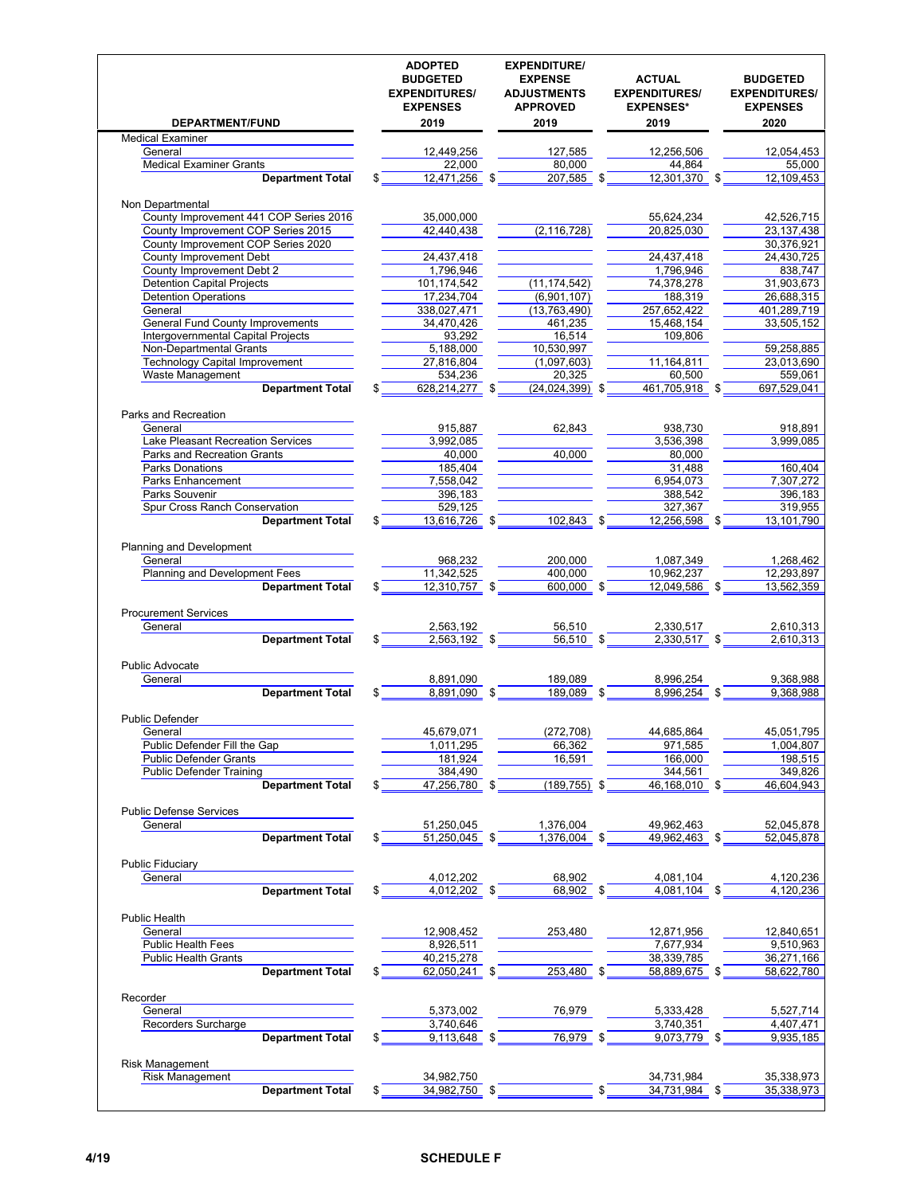| DEPARTMENT/FUND                           | <b>ADOPTED</b><br><b>BUDGETED</b><br><b>EXPENDITURES/</b><br><b>EXPENSES</b><br>2019 | <b>EXPENDITURE/</b><br><b>EXPENSE</b><br><b>ADJUSTMENTS</b><br><b>APPROVED</b><br>2019 | <b>ACTUAL</b><br><b>EXPENDITURES/</b><br><b>EXPENSES*</b><br>2019 | <b>BUDGETED</b><br><b>EXPENDITURES/</b><br><b>EXPENSES</b><br>2020 |
|-------------------------------------------|--------------------------------------------------------------------------------------|----------------------------------------------------------------------------------------|-------------------------------------------------------------------|--------------------------------------------------------------------|
| <b>Medical Examiner</b>                   |                                                                                      |                                                                                        |                                                                   |                                                                    |
| General                                   | 12,449,256                                                                           | 127,585                                                                                | 12,256,506                                                        | 12,054,453                                                         |
| <b>Medical Examiner Grants</b>            | 22.000                                                                               | 80,000                                                                                 | 44.864                                                            | 55,000                                                             |
| <b>Department Total</b>                   | $12,471,256$ \$<br>\$                                                                | $207,585$ \$                                                                           | 12,301,370 \$                                                     | 12,109,453                                                         |
| Non Departmental                          |                                                                                      |                                                                                        |                                                                   |                                                                    |
| County Improvement 441 COP Series 2016    | 35,000,000                                                                           |                                                                                        | 55,624,234                                                        | 42,526,715                                                         |
| County Improvement COP Series 2015        | 42,440,438                                                                           | (2, 116, 728)                                                                          | 20,825,030                                                        | 23, 137, 438                                                       |
| County Improvement COP Series 2020        |                                                                                      |                                                                                        |                                                                   | 30.376.921                                                         |
| <b>County Improvement Debt</b>            | 24,437,418                                                                           |                                                                                        | 24,437,418                                                        | 24,430,725                                                         |
| County Improvement Debt 2                 | 1,796,946                                                                            |                                                                                        | 1,796,946                                                         | 838,747                                                            |
| <b>Detention Capital Projects</b>         | 101,174,542                                                                          | (11, 174, 542)                                                                         | 74,378,278                                                        | 31,903,673                                                         |
| <b>Detention Operations</b>               | 17,234,704                                                                           | (6,901,107)                                                                            | 188,319                                                           | 26,688,315                                                         |
| General                                   | 338,027,471                                                                          | (13, 763, 490)                                                                         | 257,652,422                                                       | 401,289,719                                                        |
| <b>General Fund County Improvements</b>   | 34,470,426                                                                           | 461,235                                                                                | 15,468,154                                                        | 33,505,152                                                         |
| Intergovernmental Capital Projects        | 93,292                                                                               | 16,514                                                                                 | 109,806                                                           |                                                                    |
| <b>Non-Departmental Grants</b>            | 5,188,000                                                                            | 10,530,997                                                                             |                                                                   | 59,258,885                                                         |
| <b>Technology Capital Improvement</b>     | 27,816,804                                                                           | (1,097,603)                                                                            | 11,164,811                                                        | 23,013,690                                                         |
| <b>Waste Management</b>                   | 534,236                                                                              | 20.325                                                                                 | 60,500                                                            | 559,061                                                            |
| <b>Department Total</b>                   | 628,214,277 \$<br>\$                                                                 | $(24,024,399)$ \$                                                                      | 461,705,918 \$                                                    | 697,529,041                                                        |
|                                           |                                                                                      |                                                                                        |                                                                   |                                                                    |
| Parks and Recreation                      |                                                                                      |                                                                                        |                                                                   |                                                                    |
| General                                   | 915,887                                                                              | 62,843                                                                                 | 938,730                                                           | 918,891                                                            |
| Lake Pleasant Recreation Services         | 3,992,085                                                                            |                                                                                        | 3,536,398                                                         | 3,999,085                                                          |
| <b>Parks and Recreation Grants</b>        | 40,000                                                                               | 40,000                                                                                 | 80,000                                                            |                                                                    |
| Parks Donations                           | 185.404                                                                              |                                                                                        | 31,488                                                            | 160,404                                                            |
| <b>Parks Enhancement</b>                  | 7,558,042                                                                            |                                                                                        | 6,954,073                                                         | 7,307,272                                                          |
| Parks Souvenir                            | 396,183                                                                              |                                                                                        | 388,542                                                           | 396,183                                                            |
| Spur Cross Ranch Conservation             | 529,125                                                                              |                                                                                        | 327,367                                                           | 319,955                                                            |
| <b>Department Total</b>                   | 13,616,726 \$                                                                        | 102,843                                                                                | 12,256,598 \$                                                     | 13,101,790                                                         |
| Planning and Development                  |                                                                                      |                                                                                        |                                                                   |                                                                    |
| General                                   | 968,232                                                                              | 200,000                                                                                | 1,087,349                                                         | 1,268,462                                                          |
| Planning and Development Fees             | 11,342,525                                                                           | 400,000                                                                                | 10,962,237                                                        | 12,293,897                                                         |
| <b>Department Total</b>                   | 12,310,757 \$                                                                        | 600,000 \$                                                                             | 12,049,586 \$                                                     | 13,562,359                                                         |
| <b>Procurement Services</b>               |                                                                                      |                                                                                        |                                                                   |                                                                    |
| General                                   | 2,563,192                                                                            | 56,510                                                                                 | 2,330,517                                                         | 2,610,313                                                          |
| <b>Department Total</b>                   | $2,563,192$ \$<br>\$                                                                 | $56,510$ \$                                                                            | $2,330,517$ \$                                                    | 2,610,313                                                          |
|                                           |                                                                                      |                                                                                        |                                                                   |                                                                    |
| <b>Public Advocate</b>                    |                                                                                      |                                                                                        |                                                                   |                                                                    |
| General                                   | 8,891,090                                                                            | 189,089                                                                                | 8,996,254                                                         | 9.368.988                                                          |
| <b>Department Total</b>                   | 8,891,090 \$<br>\$                                                                   | 189,089 \$                                                                             | 8,996,254 \$                                                      | 9,368,988                                                          |
| <b>Public Defender</b>                    |                                                                                      |                                                                                        |                                                                   |                                                                    |
| General                                   | 45,679,071                                                                           | (272, 708)                                                                             | 44,685,864                                                        | 45,051,795                                                         |
| Public Defender Fill the Gap              | 1,011,295                                                                            | 66,362                                                                                 | 971,585                                                           | 1,004,807                                                          |
| <b>Public Defender Grants</b>             | 181,924                                                                              | 16,591                                                                                 | 166,000                                                           | 198,515                                                            |
| <b>Public Defender Training</b>           | 384,490                                                                              |                                                                                        | 344,561                                                           | 349,826                                                            |
| <b>Department Total</b>                   | 47,256,780 \$<br>\$                                                                  | (189,755) \$                                                                           | 46,168,010 \$                                                     | 46,604,943                                                         |
|                                           |                                                                                      |                                                                                        |                                                                   |                                                                    |
| <b>Public Defense Services</b><br>General | 51,250,045                                                                           | 1,376,004                                                                              | 49,962,463                                                        | 52,045,878                                                         |
| <b>Department Total</b>                   | 51,250,045 \$<br>\$                                                                  | 1,376,004 \$                                                                           | 49,962,463 \$                                                     | 52,045,878                                                         |
|                                           |                                                                                      |                                                                                        |                                                                   |                                                                    |
| <b>Public Fiduciary</b>                   |                                                                                      |                                                                                        |                                                                   |                                                                    |
| General                                   | 4,012,202                                                                            | 68,902                                                                                 | 4,081,104                                                         | 4,120,236                                                          |
| <b>Department Total</b>                   | $4,012,202$ \$<br>\$                                                                 | 68,902 \$                                                                              | 4,081,104 \$                                                      | 4,120,236                                                          |
|                                           |                                                                                      |                                                                                        |                                                                   |                                                                    |
| Public Health                             |                                                                                      |                                                                                        |                                                                   |                                                                    |
| General                                   | 12,908,452                                                                           | 253,480                                                                                | 12,871,956                                                        | 12,840,651                                                         |
| <b>Public Health Fees</b>                 | 8,926,511                                                                            |                                                                                        | 7,677,934                                                         | 9,510,963                                                          |
| <b>Public Health Grants</b>               | 40,215,278                                                                           |                                                                                        | 38,339,785                                                        | 36,271,166                                                         |
| <b>Department Total</b>                   | $62,050,241$ \$<br>\$                                                                | 253,480 \$                                                                             | 58,889,675 \$                                                     | 58,622,780                                                         |
|                                           |                                                                                      |                                                                                        |                                                                   |                                                                    |
| Recorder                                  |                                                                                      |                                                                                        |                                                                   |                                                                    |
| General                                   | 5,373,002                                                                            | 76,979                                                                                 | 5,333,428                                                         | 5,527,714                                                          |
| Recorders Surcharge                       | 3,740,646                                                                            |                                                                                        | 3,740,351                                                         | 4,407,471                                                          |
| <b>Department Total</b>                   | 9,113,648 \$                                                                         | $76,979$ \$                                                                            | $9,073,779$ \$                                                    | 9,935,185                                                          |
|                                           |                                                                                      |                                                                                        |                                                                   |                                                                    |
| Risk Management                           |                                                                                      |                                                                                        |                                                                   |                                                                    |
| Risk Management                           | 34,982,750                                                                           |                                                                                        | 34,731,984                                                        | 35,338,973                                                         |
| <b>Department Total</b>                   | 34,982,750<br>\$                                                                     |                                                                                        | 34,731,984 \$                                                     | 35,338,973                                                         |
|                                           |                                                                                      |                                                                                        |                                                                   |                                                                    |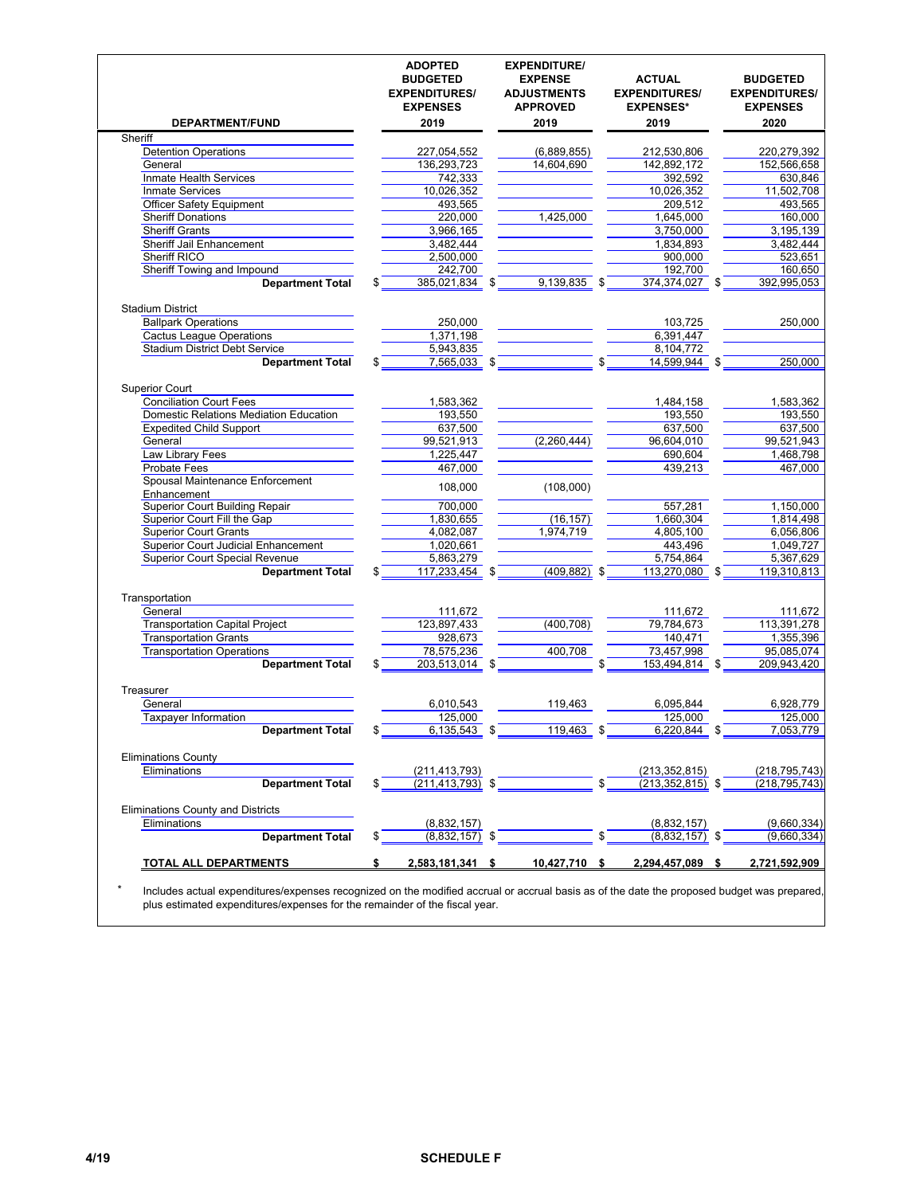| 2019<br>227,054,552<br>136,293,723<br>742,333<br>10,026,352<br>493,565<br>220,000<br>3,966,165<br>3,482,444<br>2,500,000<br>242,700<br>385,021,834 \$<br>250,000<br>1,371,198<br>5,943,835<br>7,565,033 \$<br>1,583,362<br>193,550<br>637,500<br>99,521,913<br>1,225,447 |                                                      | 2019<br>(6,889,855)<br>14,604,690<br>1,425,000<br>9,139,835 \$<br>\$ | 2019<br>212,530,806<br>142,892,172<br>392,592<br>10,026,352<br>209,512<br>1,645,000<br>3,750,000<br>1,834,893<br>900,000<br>192,700<br>374,374,027 \$<br>103,725<br>6,391,447<br>8,104,772<br>14,599,944 \$ |                                                                     | 2020<br>220,279,392<br>152,566,658<br>630,846<br>11,502,708<br>493,565<br>160,000<br>3,195,139<br>3,482,444<br>523,651<br>160,650<br>392,995,053<br>250,000 |
|--------------------------------------------------------------------------------------------------------------------------------------------------------------------------------------------------------------------------------------------------------------------------|------------------------------------------------------|----------------------------------------------------------------------|-------------------------------------------------------------------------------------------------------------------------------------------------------------------------------------------------------------|---------------------------------------------------------------------|-------------------------------------------------------------------------------------------------------------------------------------------------------------|
|                                                                                                                                                                                                                                                                          |                                                      |                                                                      |                                                                                                                                                                                                             |                                                                     |                                                                                                                                                             |
|                                                                                                                                                                                                                                                                          |                                                      |                                                                      |                                                                                                                                                                                                             |                                                                     |                                                                                                                                                             |
|                                                                                                                                                                                                                                                                          |                                                      |                                                                      |                                                                                                                                                                                                             |                                                                     |                                                                                                                                                             |
|                                                                                                                                                                                                                                                                          |                                                      |                                                                      |                                                                                                                                                                                                             |                                                                     |                                                                                                                                                             |
|                                                                                                                                                                                                                                                                          |                                                      |                                                                      |                                                                                                                                                                                                             |                                                                     |                                                                                                                                                             |
|                                                                                                                                                                                                                                                                          |                                                      |                                                                      |                                                                                                                                                                                                             |                                                                     |                                                                                                                                                             |
|                                                                                                                                                                                                                                                                          |                                                      |                                                                      |                                                                                                                                                                                                             |                                                                     |                                                                                                                                                             |
|                                                                                                                                                                                                                                                                          |                                                      |                                                                      |                                                                                                                                                                                                             |                                                                     |                                                                                                                                                             |
|                                                                                                                                                                                                                                                                          |                                                      |                                                                      |                                                                                                                                                                                                             |                                                                     |                                                                                                                                                             |
|                                                                                                                                                                                                                                                                          |                                                      |                                                                      |                                                                                                                                                                                                             |                                                                     |                                                                                                                                                             |
|                                                                                                                                                                                                                                                                          |                                                      |                                                                      |                                                                                                                                                                                                             |                                                                     |                                                                                                                                                             |
|                                                                                                                                                                                                                                                                          |                                                      |                                                                      |                                                                                                                                                                                                             |                                                                     |                                                                                                                                                             |
|                                                                                                                                                                                                                                                                          |                                                      |                                                                      |                                                                                                                                                                                                             |                                                                     |                                                                                                                                                             |
|                                                                                                                                                                                                                                                                          |                                                      |                                                                      |                                                                                                                                                                                                             |                                                                     |                                                                                                                                                             |
|                                                                                                                                                                                                                                                                          |                                                      |                                                                      |                                                                                                                                                                                                             |                                                                     |                                                                                                                                                             |
|                                                                                                                                                                                                                                                                          |                                                      |                                                                      |                                                                                                                                                                                                             |                                                                     |                                                                                                                                                             |
|                                                                                                                                                                                                                                                                          |                                                      |                                                                      |                                                                                                                                                                                                             |                                                                     |                                                                                                                                                             |
|                                                                                                                                                                                                                                                                          |                                                      |                                                                      |                                                                                                                                                                                                             |                                                                     | 250,000                                                                                                                                                     |
|                                                                                                                                                                                                                                                                          |                                                      |                                                                      |                                                                                                                                                                                                             |                                                                     |                                                                                                                                                             |
|                                                                                                                                                                                                                                                                          |                                                      |                                                                      | 1,484,158                                                                                                                                                                                                   |                                                                     | 1,583,362                                                                                                                                                   |
|                                                                                                                                                                                                                                                                          |                                                      |                                                                      | 193,550                                                                                                                                                                                                     |                                                                     | 193,550                                                                                                                                                     |
|                                                                                                                                                                                                                                                                          |                                                      |                                                                      | 637,500                                                                                                                                                                                                     |                                                                     | 637,500                                                                                                                                                     |
|                                                                                                                                                                                                                                                                          |                                                      | (2,260,444)                                                          | 96,604,010                                                                                                                                                                                                  |                                                                     | 99,521,943                                                                                                                                                  |
|                                                                                                                                                                                                                                                                          |                                                      |                                                                      | 690,604                                                                                                                                                                                                     |                                                                     | 1,468,798                                                                                                                                                   |
| 467,000                                                                                                                                                                                                                                                                  |                                                      |                                                                      | 439.213                                                                                                                                                                                                     |                                                                     | 467,000                                                                                                                                                     |
| 108,000                                                                                                                                                                                                                                                                  |                                                      | (108,000)                                                            |                                                                                                                                                                                                             |                                                                     |                                                                                                                                                             |
|                                                                                                                                                                                                                                                                          |                                                      |                                                                      |                                                                                                                                                                                                             |                                                                     |                                                                                                                                                             |
| 700,000                                                                                                                                                                                                                                                                  |                                                      |                                                                      | 557,281                                                                                                                                                                                                     |                                                                     | 1,150,000                                                                                                                                                   |
| 1,830,655                                                                                                                                                                                                                                                                |                                                      | (16, 157)                                                            | 1,660,304                                                                                                                                                                                                   |                                                                     | 1,814,498                                                                                                                                                   |
| 4,082,087                                                                                                                                                                                                                                                                |                                                      | 1,974,719                                                            | 4,805,100                                                                                                                                                                                                   |                                                                     | 6,056,806                                                                                                                                                   |
| 1,020,661                                                                                                                                                                                                                                                                |                                                      |                                                                      | 443,496                                                                                                                                                                                                     |                                                                     | 1,049,727                                                                                                                                                   |
| 5,863,279                                                                                                                                                                                                                                                                |                                                      |                                                                      | 5,754,864                                                                                                                                                                                                   |                                                                     | 5,367,629                                                                                                                                                   |
| 117,233,454 \$                                                                                                                                                                                                                                                           |                                                      | $(409, 882)$ \$                                                      | 113,270,080 \$                                                                                                                                                                                              |                                                                     | 119,310,813                                                                                                                                                 |
|                                                                                                                                                                                                                                                                          |                                                      |                                                                      |                                                                                                                                                                                                             |                                                                     |                                                                                                                                                             |
| 111,672                                                                                                                                                                                                                                                                  |                                                      |                                                                      | 111,672                                                                                                                                                                                                     |                                                                     | 111,672                                                                                                                                                     |
| 123,897,433                                                                                                                                                                                                                                                              |                                                      |                                                                      | 79,784,673                                                                                                                                                                                                  |                                                                     | 113,391,278                                                                                                                                                 |
| 928,673                                                                                                                                                                                                                                                                  |                                                      |                                                                      | 140,471                                                                                                                                                                                                     |                                                                     | 1,355,396                                                                                                                                                   |
| 78,575,236                                                                                                                                                                                                                                                               |                                                      | 400,708                                                              | 73,457,998                                                                                                                                                                                                  |                                                                     | 95,085,074                                                                                                                                                  |
|                                                                                                                                                                                                                                                                          |                                                      |                                                                      |                                                                                                                                                                                                             |                                                                     | 209,943,420                                                                                                                                                 |
|                                                                                                                                                                                                                                                                          |                                                      |                                                                      |                                                                                                                                                                                                             |                                                                     |                                                                                                                                                             |
|                                                                                                                                                                                                                                                                          |                                                      |                                                                      |                                                                                                                                                                                                             |                                                                     | 6,928,779                                                                                                                                                   |
|                                                                                                                                                                                                                                                                          |                                                      |                                                                      |                                                                                                                                                                                                             |                                                                     | 125,000                                                                                                                                                     |
|                                                                                                                                                                                                                                                                          | \$                                                   | 119,463 \$                                                           |                                                                                                                                                                                                             |                                                                     | 7,053,779                                                                                                                                                   |
|                                                                                                                                                                                                                                                                          |                                                      |                                                                      |                                                                                                                                                                                                             |                                                                     |                                                                                                                                                             |
|                                                                                                                                                                                                                                                                          |                                                      |                                                                      |                                                                                                                                                                                                             |                                                                     | (218, 795, 743)                                                                                                                                             |
|                                                                                                                                                                                                                                                                          |                                                      |                                                                      |                                                                                                                                                                                                             |                                                                     | (218, 795, 743)                                                                                                                                             |
|                                                                                                                                                                                                                                                                          |                                                      |                                                                      |                                                                                                                                                                                                             |                                                                     |                                                                                                                                                             |
|                                                                                                                                                                                                                                                                          |                                                      |                                                                      |                                                                                                                                                                                                             |                                                                     |                                                                                                                                                             |
|                                                                                                                                                                                                                                                                          |                                                      |                                                                      |                                                                                                                                                                                                             |                                                                     | (9,660,334)                                                                                                                                                 |
|                                                                                                                                                                                                                                                                          | \$                                                   |                                                                      |                                                                                                                                                                                                             |                                                                     | (9,660,334)                                                                                                                                                 |
|                                                                                                                                                                                                                                                                          |                                                      |                                                                      | 2,294,457,089                                                                                                                                                                                               | \$                                                                  | 2,721,592,909                                                                                                                                               |
|                                                                                                                                                                                                                                                                          | 6,010,543<br>125,000<br>(211,413,793)<br>(8,832,157) | 203,513,014 \$<br>6,135,543<br>$(211, 413, 793)$ \$<br>(8,832,157)   | (400, 708)<br>119,463<br>2,583,181,341<br>10,427,710<br>\$<br>\$                                                                                                                                            | 6,095,844<br>125,000<br>(213,352,815)<br>(8,832,157)<br>(8,832,157) | 153,494,814 \$<br>$6,220,844$ \$<br>$(213, 352, 815)$ \$                                                                                                    |

\* Includes actual expenditures/expenses recognized on the modified accrual or accrual basis as of the date the proposed budget was prepared, plus estimated expenditures/expenses for the remainder of the fiscal year.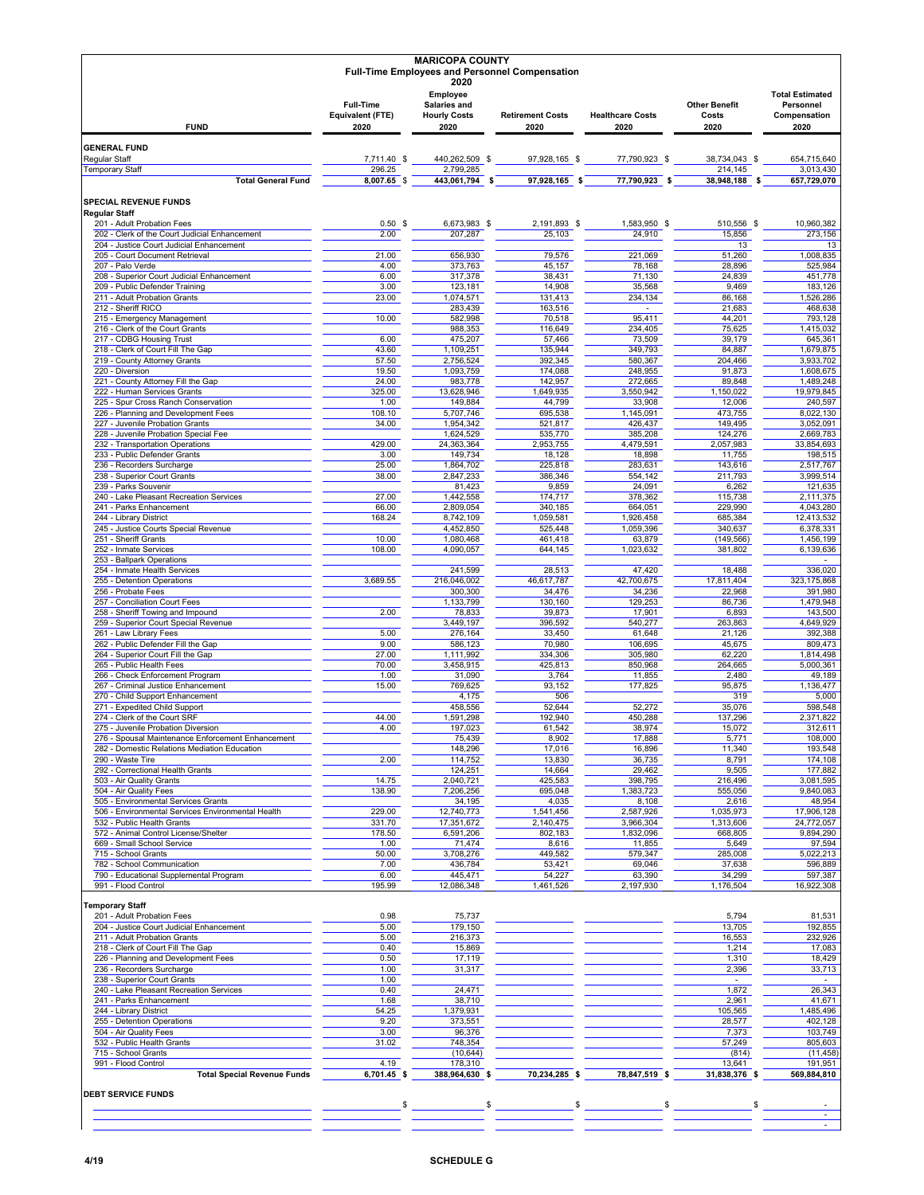|                                                                                          |                                      | <b>MARICOPA COUNTY</b>                                         | <b>Full-Time Employees and Personnel Compensation</b> |                         |                                   |                                                     |
|------------------------------------------------------------------------------------------|--------------------------------------|----------------------------------------------------------------|-------------------------------------------------------|-------------------------|-----------------------------------|-----------------------------------------------------|
|                                                                                          | <b>Full-Time</b><br>Equivalent (FTE) | 2020<br>Employee<br><b>Salaries and</b><br><b>Hourly Costs</b> | <b>Retirement Costs</b>                               | <b>Healthcare Costs</b> | <b>Other Benefit</b><br>Costs     | <b>Total Estimated</b><br>Personnel<br>Compensation |
| <b>FUND</b>                                                                              | 2020                                 | 2020                                                           | 2020                                                  | 2020                    | 2020                              | 2020                                                |
| <b>GENERAL FUND</b>                                                                      |                                      |                                                                |                                                       |                         |                                   |                                                     |
| Regular Staff<br><b>Temporary Staff</b>                                                  | 7,711.40 \$<br>296.25                | 440,262,509 \$<br>2,799,285                                    | 97,928,165 \$                                         | 77,790,923 \$           | 38,734,043 \$<br>214,145          | 654,715,640<br>3,013,430                            |
| <b>Total General Fund</b>                                                                | $8,007.65$ \$                        | 443,061,794<br>\$                                              | 97,928,165 \$                                         | 77,790,923 \$           | 38,948,188<br>\$                  | 657,729,070                                         |
| <b>SPECIAL REVENUE FUNDS</b>                                                             |                                      |                                                                |                                                       |                         |                                   |                                                     |
| <b>Regular Staff</b><br>201 - Adult Probation Fees                                       | 0.50 <sup>5</sup>                    | 6,673,983 \$                                                   | 2,191,893 \$                                          | 1,583,950 \$            | 510,556 \$                        | 10,960,382                                          |
| 202 - Clerk of the Court Judicial Enhancement                                            | 2.00                                 | 207,287                                                        | 25,103                                                | 24,910                  | 15,856                            | 273,156                                             |
| 204 - Justice Court Judicial Enhancement<br>205 - Court Document Retrieval               | 21.00                                | 656,930                                                        | 79,576                                                | 221,069                 | 13<br>51,260                      | 13<br>1.008.835                                     |
| 207 - Palo Verde                                                                         | 4.00                                 | 373,763                                                        | 45,157                                                | 78,168                  | 28,896                            | 525,984                                             |
| 208 - Superior Court Judicial Enhancement                                                | 6.00                                 | 317,378                                                        | 38,431                                                | 71,130                  | 24,839                            | 451.778                                             |
| 209 - Public Defender Training<br>211 - Adult Probation Grants                           | 3.00<br>23.00                        | 123,181<br>1,074,571                                           | 14,908<br>131,413                                     | 35,568<br>234,134       | 9,469<br>86,168                   | 183,126<br>1,526,286                                |
| 212 - Sheriff RICO                                                                       |                                      | 283,439                                                        | 163,516                                               | $\mathbf{r}$            | 21,683                            | 468,638                                             |
| 215 - Emergency Management<br>216 - Clerk of the Court Grants                            | 10.00                                | 582,998<br>988,353                                             | 70,518<br>116,649                                     | 95,411<br>234,405       | 44,201<br>75,625                  | 793,128<br>1,415,032                                |
| 217 - CDBG Housing Trust                                                                 | 6.00                                 | 475,207                                                        | 57,466                                                | 73,509                  | 39,179                            | 645,361                                             |
| 218 - Clerk of Court Fill The Gap                                                        | 43.60                                | 1,109,251                                                      | 135,944                                               | 349,793                 | 84,887                            | 1,679,875                                           |
| 219 - County Attorney Grants<br>220 - Diversion                                          | 57.50<br>19.50                       | 2,756,524<br>1,093,759                                         | 392,345<br>174,088                                    | 580,367<br>248,955      | 204,466<br>91,873                 | 3,933,702<br>1,608,675                              |
| 221 - County Attorney Fill the Gap                                                       | 24.00                                | 983,778                                                        | 142,957                                               | 272,665                 | 89,848                            | 1,489,248                                           |
| 222 - Human Services Grants<br>225 - Spur Cross Ranch Conservation                       | 325.00<br>1.00                       | 13,628,946<br>149,884                                          | 1,649,935<br>44,799                                   | 3,550,942<br>33,908     | 1,150,022<br>12,006               | 19.979.845<br>240,597                               |
| 226 - Planning and Development Fees                                                      | 108.10                               | 5,707,746                                                      | 695,538                                               | 1,145,091               | 473,755                           | 8,022,130                                           |
| 227 - Juvenile Probation Grants                                                          | 34.00                                | 1,954,342                                                      | 521,817                                               | 426,437                 | 149,495                           | 3,052,091                                           |
| 228 - Juvenile Probation Special Fee<br>232 - Transportation Operations                  | 429.00                               | 1,624,529<br>24,363,364                                        | 535,770<br>2,953,755                                  | 385,208<br>4,479,591    | 124,276<br>2,057,983              | 2,669,783<br>33,854,693                             |
| 233 - Public Defender Grants                                                             | 3.00                                 | 149.734                                                        | 18,128                                                | 18,898                  | 11,755                            | 198,515                                             |
| 236 - Recorders Surcharge<br>238 - Superior Court Grants                                 | 25.00<br>38.00                       | 1,864,702<br>2,847,233                                         | 225,818<br>386,346                                    | 283,631<br>554,142      | 143,616<br>211,793                | 2,517,767<br>3,999,514                              |
| 239 - Parks Souvenir                                                                     |                                      | 81,423                                                         | 9,859                                                 | 24,091                  | 6,262                             | 121,635                                             |
| 240 - Lake Pleasant Recreation Services                                                  | 27.00                                | 1,442,558                                                      | 174,717                                               | 378,362                 | 115,738                           | 2,111,375                                           |
| 241 - Parks Enhancement<br>244 - Library District                                        | 66.00<br>168.24                      | 2,809,054<br>8,742,109                                         | 340,185<br>1,059,581                                  | 664,051<br>1,926,458    | 229,990<br>685,384                | 4,043,280<br>12,413,532                             |
| 245 - Justice Courts Special Revenue                                                     |                                      | 4,452,850                                                      | 525,448                                               | 1,059,396               | 340,637                           | 6,378,331                                           |
| 251 - Sheriff Grants<br>252 - Inmate Services                                            | 10.00<br>108.00                      | 1,080,468<br>4,090,057                                         | 461,418<br>644,145                                    | 63,879<br>1,023,632     | (149, 566)<br>381,802             | 1,456,199<br>6,139,636                              |
| 253 - Ballpark Operations                                                                |                                      |                                                                |                                                       |                         |                                   |                                                     |
| 254 - Inmate Health Services                                                             |                                      | 241,599                                                        | 28,513                                                | 47,420                  | 18,488                            | 336,020                                             |
| 255 - Detention Operations<br>256 - Probate Fees                                         | 3,689.55                             | 216,046,002<br>300,300                                         | 46,617,787<br>34,476                                  | 42,700,675<br>34,236    | 17,811,404<br>22,968              | 323,175,868<br>391,980                              |
| 257 - Conciliation Court Fees                                                            |                                      | 1,133,799                                                      | 130,160                                               | 129,253                 | 86,736                            | 1,479,948                                           |
| 258 - Sheriff Towing and Impound<br>259 - Superior Court Special Revenue                 | 2.00                                 | 78,833<br>3,449,197                                            | 39,873<br>396,592                                     | 17,901<br>540,277       | 6,893<br>263,863                  | 143,500<br>4,649,929                                |
| 261 - Law Library Fees                                                                   | 5.00                                 | 276,164                                                        | 33,450                                                | 61,648                  | 21,126                            | 392,388                                             |
| 262 - Public Defender Fill the Gap                                                       | 9.00                                 | 586,123                                                        | 70,980                                                | 106,695                 | 45,675                            | 809,473                                             |
| 264 - Superior Court Fill the Gap<br>265 - Public Health Fees                            | 27.00<br>70.00                       | 1,111,992<br>3,458,915                                         | 334,306<br>425,813                                    | 305,980<br>850,968      | 62,220<br>264,665                 | 1,814,498<br>5,000,361                              |
| 266 - Check Enforcement Program                                                          | 1.00                                 | 31,090                                                         | 3,764                                                 | 11,855                  | 2,480                             | 49,189                                              |
| 267 - Criminal Justice Enhancement<br>270 - Child Support Enhancement                    | 15.00                                | 769,625<br>4,175                                               | 93,152<br>506                                         | 177,825                 | 95,875<br>319                     | 1.136.477<br>5,000                                  |
| 271 - Expedited Child Support                                                            |                                      | 458,556                                                        | 52,644                                                | 52,272                  | 35,076                            | 598,548                                             |
| 274 - Clerk of the Court SRF                                                             | 44.00                                | 1,591,298                                                      | 192.940                                               | 450,288                 | 137,296                           | 2,371,822<br>312.611                                |
| 275 - Juvenile Probation Diversion<br>276 - Spousal Maintenance Enforcement Enhancement  | 4.00                                 | 197.023<br>75,439                                              | 61,542<br>8,902                                       | 38,974<br>17,888        | 15,072<br>5,771                   | 108,000                                             |
| 282 - Domestic Relations Mediation Education                                             |                                      | 148,296                                                        | 17,016                                                | 16,896                  | 11,340                            | 193,548                                             |
| 290 - Waste Tire<br>292 - Correctional Health Grants                                     | 2.00                                 | 114,752<br>124,251                                             | 13,830<br>14,664                                      | 36,735<br>29,462        | 8,791<br>9,505                    | 174,108<br>177,882                                  |
| 503 - Air Quality Grants                                                                 | 14.75                                | 2,040,721                                                      | 425,583                                               | 398,795                 | 216,496                           | 3,081,595                                           |
| 504 - Air Quality Fees                                                                   | 138.90                               | 7,206,256                                                      | 695,048                                               | 1,383,723               | 555,056                           | 9,840,083                                           |
| 505 - Environmental Services Grants<br>506 - Environmental Services Environmental Health | 229.00                               | 34,195<br>12,740,773                                           | 4,035<br>1,541,456                                    | 8,108<br>2,587,926      | 2,616<br>1,035,973                | 48,954<br>17,906,128                                |
| 532 - Public Health Grants                                                               | 331.70                               | 17,351,672                                                     | 2,140,475                                             | 3,966,304               | 1,313,606                         | 24,772,057                                          |
| 572 - Animal Control License/Shelter<br>669 - Small School Service                       | 178.50<br>1.00                       | 6,591,206<br>71,474                                            | 802,183<br>8,616                                      | 1,832,096<br>11,855     | 668,805<br>5,649                  | 9,894,290<br>97,594                                 |
| 715 - School Grants                                                                      | 50.00                                | 3,708,276                                                      | 449,582                                               | 579,347                 | 285,008                           | 5,022,213                                           |
| 782 - School Communication                                                               | 7.00                                 | 436,784                                                        | 53,421                                                | 69,046                  | 37,638                            | 596,889                                             |
| 790 - Educational Supplemental Program<br>991 - Flood Control                            | 6.00<br>195.99                       | 445,471<br>12,086,348                                          | 54,227<br>1,461,526                                   | 63,390<br>2,197,930     | 34,299<br>1,176,504               | 597,387<br>16,922,308                               |
|                                                                                          |                                      |                                                                |                                                       |                         |                                   |                                                     |
| emporary Staff<br>201 - Adult Probation Fees                                             | 0.98                                 | 75,737                                                         |                                                       |                         | 5,794                             | 81,531                                              |
| 204 - Justice Court Judicial Enhancement                                                 | 5.00                                 | 179,150                                                        |                                                       |                         | 13,705                            | 192,855                                             |
| 211 - Adult Probation Grants<br>218 - Clerk of Court Fill The Gap                        | 5.00                                 | 216,373                                                        |                                                       |                         | 16,553                            | 232,926                                             |
| 226 - Planning and Development Fees                                                      | 0.40<br>0.50                         | 15,869<br>17,119                                               |                                                       |                         | 1,214<br>1,310                    | 17,083<br>18,429                                    |
| 236 - Recorders Surcharge                                                                | 1.00                                 | 31,317                                                         |                                                       |                         | 2,396                             | 33,713                                              |
| 238 - Superior Court Grants<br>240 - Lake Pleasant Recreation Services                   | 1.00<br>0.40                         | 24,471                                                         |                                                       |                         | $\overline{\phantom{a}}$<br>1,872 | 26,343                                              |
| 241 - Parks Enhancement                                                                  | 1.68                                 | 38,710                                                         |                                                       |                         | 2,961                             | 41,671                                              |
| 244 - Library District                                                                   | 54.25                                | 1,379,931                                                      |                                                       |                         | 105,565                           | ,485,496                                            |
| 255 - Detention Operations<br>504 - Air Quality Fees                                     | 9.20<br>3.00                         | 373,551<br>96,376                                              |                                                       |                         | 28,577<br>7,373                   | 402,128<br>103,749                                  |
| 532 - Public Health Grants                                                               | 31.02                                | 748,354                                                        |                                                       |                         | 57,249                            | 805,603                                             |
| 715 - School Grants<br>991 - Flood Control                                               | 4.19                                 | (10, 644)<br>178,310                                           |                                                       |                         | (814)<br>13,641                   | (11, 458)<br>191,951                                |
| <b>Total Special Revenue Funds</b>                                                       | 6,701.45 \$                          | 388,964,630 \$                                                 | 70,234,285 \$                                         | 78,847,519 \$           | 31,838,376 \$                     | 569,884,810                                         |
| <b>DEBT SERVICE FUNDS</b>                                                                |                                      |                                                                |                                                       |                         |                                   |                                                     |
|                                                                                          |                                      | \$                                                             | \$                                                    | \$                      | \$                                |                                                     |
|                                                                                          |                                      |                                                                |                                                       |                         |                                   |                                                     |